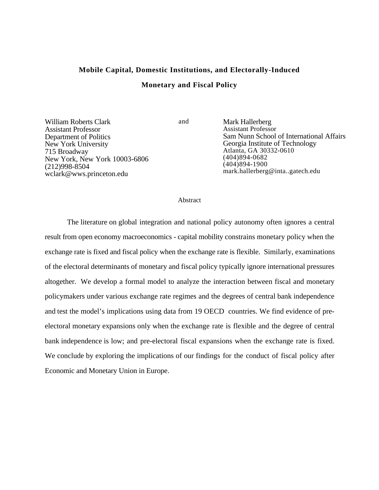# **Mobile Capital, Domestic Institutions, and Electorally-Induced Monetary and Fiscal Policy**

William Roberts Clark Assistant Professor Department of Politics New York University 715 Broadway New York, New York 10003-6806 (212)998-8504 wclark@wws.princeton.edu

and Mark Hallerberg Assistant Professor Sam Nunn School of International Affairs Georgia Institute of Technology Atlanta, GA 30332-0610 (404)894-0682 (404)894-1900 mark.hallerberg@inta..gatech.edu

#### Abstract

The literature on global integration and national policy autonomy often ignores a central result from open economy macroeconomics - capital mobility constrains monetary policy when the exchange rate is fixed and fiscal policy when the exchange rate is flexible. Similarly, examinations of the electoral determinants of monetary and fiscal policy typically ignore international pressures altogether. We develop a formal model to analyze the interaction between fiscal and monetary policymakers under various exchange rate regimes and the degrees of central bank independence and test the model's implications using data from 19 OECD countries. We find evidence of preelectoral monetary expansions only when the exchange rate is flexible and the degree of central bank independence is low; and pre-electoral fiscal expansions when the exchange rate is fixed. We conclude by exploring the implications of our findings for the conduct of fiscal policy after Economic and Monetary Union in Europe.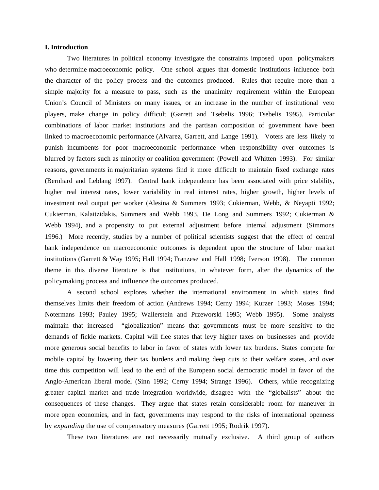#### **I. Introduction**

Two literatures in political economy investigate the constraints imposed upon policymakers who determine macroeconomic policy. One school argues that domestic institutions influence both the character of the policy process and the outcomes produced. Rules that require more than a simple majority for a measure to pass, such as the unanimity requirement within the European Union's Council of Ministers on many issues, or an increase in the number of institutional veto players, make change in policy difficult (Garrett and Tsebelis 1996; Tsebelis 1995). Particular combinations of labor market institutions and the partisan composition of government have been linked to macroeconomic performance (Alvarez, Garrett, and Lange 1991). Voters are less likely to punish incumbents for poor macroeconomic performance when responsibility over outcomes is blurred by factors such as minority or coalition government (Powell and Whitten 1993). For similar reasons, governments in majoritarian systems find it more difficult to maintain fixed exchange rates (Bernhard and Leblang 1997). Central bank independence has been associated with price stability, higher real interest rates, lower variability in real interest rates, higher growth, higher levels of investment real output per worker (Alesina & Summers 1993; Cukierman, Webb, & Neyapti 1992; Cukierman, Kalaitzidakis, Summers and Webb 1993, De Long and Summers 1992; Cukierman & Webb 1994), and a propensity to put external adjustment before internal adjustment (Simmons 1996.) More recently, studies by a number of political scientists suggest that the effect of central bank independence on macroeconomic outcomes is dependent upon the structure of labor market institutions (Garrett & Way 1995; Hall 1994; Franzese and Hall 1998; Iverson 1998). The common theme in this diverse literature is that institutions, in whatever form, alter the dynamics of the policymaking process and influence the outcomes produced.

A second school explores whether the international environment in which states find themselves limits their freedom of action (Andrews 1994; Cerny 1994; Kurzer 1993; Moses 1994; Notermans 1993; Pauley 1995; Wallerstein and Przeworski 1995; Webb 1995). Some analysts maintain that increased "globalization" means that governments must be more sensitive to the demands of fickle markets. Capital will flee states that levy higher taxes on businesses and provide more generous social benefits to labor in favor of states with lower tax burdens. States compete for mobile capital by lowering their tax burdens and making deep cuts to their welfare states, and over time this competition will lead to the end of the European social democratic model in favor of the Anglo-American liberal model (Sinn 1992; Cerny 1994; Strange 1996). Others, while recognizing greater capital market and trade integration worldwide, disagree with the "globalists" about the consequences of these changes. They argue that states retain considerable room for maneuver in more open economies, and in fact, governments may respond to the risks of international openness by *expanding* the use of compensatory measures (Garrett 1995; Rodrik 1997).

These two literatures are not necessarily mutually exclusive. A third group of authors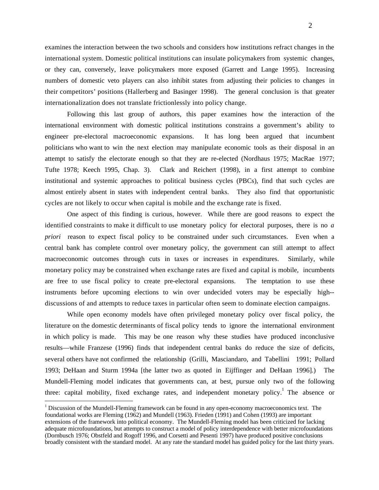examines the interaction between the two schools and considers how institutions refract changes in the international system. Domestic political institutions can insulate policymakers from systemic changes, or they can, conversely, leave policymakers more exposed (Garrett and Lange 1995). Increasing numbers of domestic veto players can also inhibit states from adjusting their policies to changes in their competitors' positions (Hallerberg and Basinger 1998). The general conclusion is that greater

Following this last group of authors, this paper examines how the interaction of the international environment with domestic political institutions constrains a government's ability to engineer pre-electoral macroeconomic expansions. It has long been argued that incumbent politicians who want to win the next election may manipulate economic tools as their disposal in an attempt to satisfy the electorate enough so that they are re-elected (Nordhaus 1975; MacRae 1977; Tufte 1978; Keech 1995, Chap. 3). Clark and Reichert (1998), in a first attempt to combine institutional and systemic approaches to political business cycles (PBCs), find that such cycles are almost entirely absent in states with independent central banks. They also find that opportunistic cycles are not likely to occur when capital is mobile and the exchange rate is fixed.

internationalization does not translate frictionlessly into policy change.

One aspect of this finding is curious, however. While there are good reasons to expect the identified constraints to make it difficult to use monetary policy for electoral purposes, there is no *a priori* reason to expect fiscal policy to be constrained under such circumstances. Even when a central bank has complete control over monetary policy, the government can still attempt to affect macroeconomic outcomes through cuts in taxes or increases in expenditures. Similarly, while monetary policy may be constrained when exchange rates are fixed and capital is mobile, incumbents are free to use fiscal policy to create pre-electoral expansions. The temptation to use these instruments before upcoming elections to win over undecided voters may be especially high- discussions of and attempts to reduce taxes in particular often seem to dominate election campaigns.

While open economy models have often privileged monetary policy over fiscal policy, the literature on the domestic determinants of fiscal policy tends to ignore the international environment in which policy is made. This may be one reason why these studies have produced inconclusive results—while Franzese (1996) finds that independent central banks do reduce the size of deficits, several others have not confirmed the relationship (Grilli, Masciandaro, and Tabellini 1991; Pollard 1993; DeHaan and Sturm 1994a [the latter two as quoted in Eijffinger and DeHaan 1996].) The Mundell-Fleming model indicates that governments can, at best, pursue only two of the following three: capital mobility, fixed exchange rates, and independent monetary policy.<sup>1</sup> The absence or

 $1$  Discussion of the Mundell-Fleming framework can be found in any open-economy macroeconomics text. The foundational works are Fleming (1962) and Mundell (1963). Frieden (1991) and Cohen (1993) are important extensions of the framework into political economy. The Mundell-Fleming model has been criticized for lacking adequate microfoundations, but attempts to construct a model of policy interdependence with better microfoundations (Dornbusch 1976; Obstfeld and Rogoff 1996, and Corsetti and Pesenti 1997) have produced positive conclusions broadly consistent with the standard model. At any rate the standard model has guided policy for the last thirty years.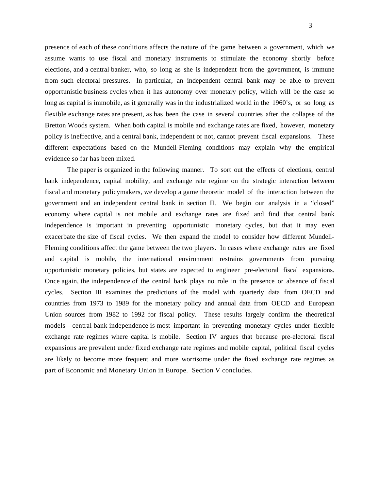presence of each of these conditions affects the nature of the game between a government, which we assume wants to use fiscal and monetary instruments to stimulate the economy shortly before elections, and a central banker, who, so long as she is independent from the government, is immune from such electoral pressures. In particular, an independent central bank may be able to prevent opportunistic business cycles when it has autonomy over monetary policy, which will be the case so long as capital is immobile, as it generally was in the industrialized world in the 1960's, or so long as flexible exchange rates are present, as has been the case in several countries after the collapse of the Bretton Woods system. When both capital is mobile and exchange rates are fixed, however, monetary policy is ineffective, and a central bank, independent or not, cannot prevent fiscal expansions. These different expectations based on the Mundell-Fleming conditions may explain why the empirical evidence so far has been mixed.

The paper is organized in the following manner. To sort out the effects of elections, central bank independence, capital mobility, and exchange rate regime on the strategic interaction between fiscal and monetary policymakers, we develop a game theoretic model of the interaction between the government and an independent central bank in section II. We begin our analysis in a "closed" economy where capital is not mobile and exchange rates are fixed and find that central bank independence is important in preventing opportunistic monetary cycles, but that it may even exacerbate the size of fiscal cycles. We then expand the model to consider how different Mundell-Fleming conditions affect the game between the two players. In cases where exchange rates are fixed and capital is mobile, the international environment restrains governments from pursuing opportunistic monetary policies, but states are expected to engineer pre-electoral fiscal expansions. Once again, the independence of the central bank plays no role in the presence or absence of fiscal cycles. Section III examines the predictions of the model with quarterly data from OECD and countries from 1973 to 1989 for the monetary policy and annual data from OECD and European Union sources from 1982 to 1992 for fiscal policy. These results largely confirm the theoretical models—central bank independence is most important in preventing monetary cycles under flexible exchange rate regimes where capital is mobile. Section IV argues that because pre-electoral fiscal expansions are prevalent under fixed exchange rate regimes and mobile capital, political fiscal cycles are likely to become more frequent and more worrisome under the fixed exchange rate regimes as part of Economic and Monetary Union in Europe. Section V concludes.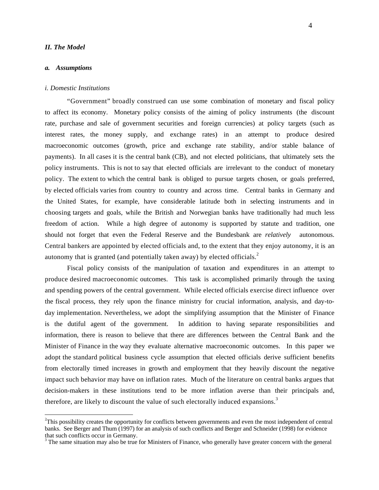#### *II. The Model*

#### *a. Assumptions*

#### *i. Domestic Institutions*

"Government" broadly construed can use some combination of monetary and fiscal policy to affect its economy. Monetary policy consists of the aiming of policy instruments (the discount rate, purchase and sale of government securities and foreign currencies) at policy targets (such as interest rates, the money supply, and exchange rates) in an attempt to produce desired macroeconomic outcomes (growth, price and exchange rate stability, and/or stable balance of payments). In all cases it is the central bank (CB), and not elected politicians, that ultimately sets the policy instruments. This is not to say that elected officials are irrelevant to the conduct of monetary policy. The extent to which the central bank is obliged to pursue targets chosen, or goals preferred, by elected officials varies from country to country and across time. Central banks in Germany and the United States, for example, have considerable latitude both in selecting instruments and in choosing targets and goals, while the British and Norwegian banks have traditionally had much less freedom of action. While a high degree of autonomy is supported by statute and tradition, one should not forget that even the Federal Reserve and the Bundesbank are *relatively* autonomous. Central bankers are appointed by elected officials and, to the extent that they enjoy autonomy, it is an autonomy that is granted (and potentially taken away) by elected officials.<sup>2</sup>

Fiscal policy consists of the manipulation of taxation and expenditures in an attempt to produce desired macroeconomic outcomes. This task is accomplished primarily through the taxing and spending powers of the central government. While elected officials exercise direct influence over the fiscal process, they rely upon the finance ministry for crucial information, analysis, and day-today implementation. Nevertheless, we adopt the simplifying assumption that the Minister of Finance is the dutiful agent of the government. In addition to having separate responsibilities and information, there is reason to believe that there are differences between the Central Bank and the Minister of Finance in the way they evaluate alternative macroeconomic outcomes. In this paper we adopt the standard political business cycle assumption that elected officials derive sufficient benefits from electorally timed increases in growth and employment that they heavily discount the negative impact such behavior may have on inflation rates. Much of the literature on central banks argues that decision-makers in these institutions tend to be more inflation averse than their principals and, therefore, are likely to discount the value of such electorally induced expansions.<sup>3</sup>

 $2^2$ This possibility creates the opportunity for conflicts between governments and even the most independent of central banks. See Berger and Thum (1997) for an analysis of such conflicts and Berger and Schneider (1998) for evidence that such conflicts occur in Germany.

 $3$  The same situation may also be true for Ministers of Finance, who generally have greater concern with the general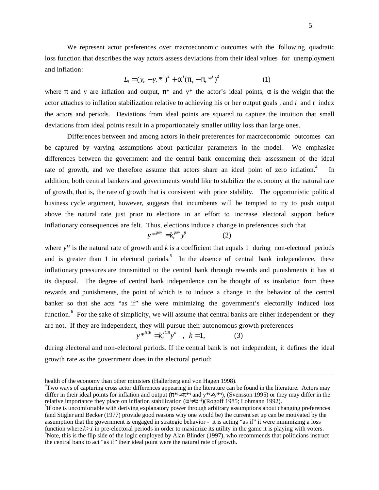We represent actor preferences over macroeconomic outcomes with the following quadratic loss function that describes the way actors assess deviations from their ideal values for unemployment and inflation:

$$
L_i = (y_t - y_t^{*i})^2 + {i \choose t} - {i \choose t}^2
$$
 (1)

where and y are inflation and output,  $*$  and  $y*$  the actor's ideal points, is the weight that the actor attaches to inflation stabilization relative to achieving his or her output goals , and *i* and *t* index the actors and periods. Deviations from ideal points are squared to capture the intuition that small deviations from ideal points result in a proportionately smaller utility loss than large ones.

Differences between and among actors in their preferences for macroeconomic outcomes can be captured by varying assumptions about particular parameters in the model. We emphasize differences between the government and the central bank concerning their assessment of the ideal rate of growth, and we therefore assume that actors share an ideal point of zero inflation.<sup>4</sup> In addition, both central bankers and governments would like to stabilize the economy at the natural rate of growth, that is, the rate of growth that is consistent with price stability. The opportunistic political business cycle argument, however, suggests that incumbents will be tempted to try to push output above the natural rate just prior to elections in an effort to increase electoral support before inflationary consequences are felt. Thus, elections induce a change in preferences such that

$$
y^{*^{gov}} = k_t^{gov} y^n \tag{2}
$$

where  $y^n$  is the natural rate of growth and *k* is a coefficient that equals 1 during non-electoral periods and is greater than 1 in electoral periods.<sup>5</sup> In the absence of central bank independence, these inflationary pressures are transmitted to the central bank through rewards and punishments it has at its disposal. The degree of central bank independence can be thought of as insulation from these rewards and punishments, the point of which is to induce a change in the behavior of the central banker so that she acts "as if" she were minimizing the government's electorally induced loss function.<sup>6</sup> For the sake of simplicity, we will assume that central banks are either independent or they are not. If they are independent, they will pursue their autonomous growth preferences

$$
y *^{ICB} = k_t^{ICB} y^n
$$
,  $k = 1$ , (3)

during electoral and non-electoral periods. If the central bank is not independent, it defines the ideal growth rate as the government does in the electoral period:

4 Two ways of capturing cross actor differences appearing in the literature can be found in the literature. Actors may differ in their ideal points for inflation and output ( $*$ i  $*$ i and y<sup>\*i</sup> y<sup>\*i</sup>), (Svensson 1995) or they may differ in the relative importance they place on inflation stabilization  $\binom{i}{j}$  (Rogoff 1985; Lohmann 1992). <sup>5</sup>If one is uncomfortable with deriving explanatory power through arbitrary assumptions about changing preferences

health of the economy than other ministers (Hallerberg and von Hagen 1998).

<sup>(</sup>and Stigler and Becker (1977) provide good reasons why one would be) the current set up can be motivated by the assumption that the government is engaged in strategic behavior - it is acting "as if" it were minimizing a loss function where  $k > 1$  in pre-electoral periods in order to maximize its utility in the game it is playing with voters.  $6$ Note, this is the flip side of the logic employed by Alan Blinder (1997), who recommends that politicians instruct the central bank to act "as if" their ideal point were the natural rate of growth.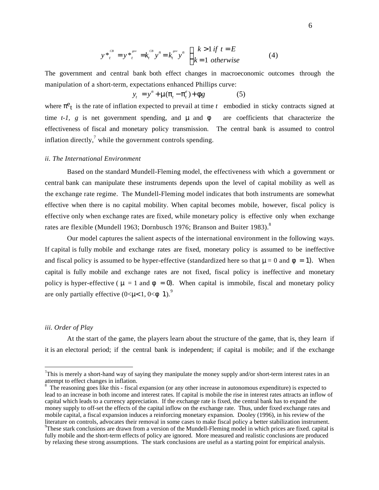$$
y *_{t}^{CB} = y *_{t}^{gov} = k_{t}^{CB} y^{n} = k_{t}^{sov} y^{n}
$$
  $k > 1$  if  $t = E$   
 $k = 1$  otherwise (4)

The government and central bank both effect changes in macroeconomic outcomes through the manipulation of a short-term, expectations enhanced Phillips curve:

$$
y_t = y^n + \mu \left( \begin{array}{cc} 0 & e \\ -e^{-t} & t \end{array} \right) + g \tag{5}
$$

where  $e_t$  is the rate of inflation expected to prevail at time  $t$  embodied in sticky contracts signed at time *t-1, g* is net government spending, and  $\mu$  and are coefficients that characterize the effectiveness of fiscal and monetary policy transmission. The central bank is assumed to control inflation directly, $\iota$  while the government controls spending.

#### *ii. The International Environment*

Based on the standard Mundell-Fleming model, the effectiveness with which a government or central bank can manipulate these instruments depends upon the level of capital mobility as well as the exchange rate regime. The Mundell-Fleming model indicates that both instruments are somewhat effective when there is no capital mobility. When capital becomes mobile, however, fiscal policy is effective only when exchange rates are fixed, while monetary policy is effective only when exchange rates are flexible (Mundell 1963; Dornbusch 1976; Branson and Buiter 1983).<sup>8</sup>

Our model captures the salient aspects of the international environment in the following ways. If capital is fully mobile and exchange rates are fixed, monetary policy is assumed to be ineffective and fiscal policy is assumed to be hyper-effective (standardized here so that  $\mu = 0$  and = 1). When capital is fully mobile and exchange rates are not fixed, fiscal policy is ineffective and monetary policy is hyper-effective ( $\mu = 1$  and  $\phi = 0$ ). When capital is immobile, fiscal and monetary policy are only partially effective  $(0<\mu<1, 0<1)$ .<sup>9</sup>

#### *iii. Order of Play*

At the start of the game, the players learn about the structure of the game, that is, they learn if it is an electoral period; if the central bank is independent; if capital is mobile; and if the exchange

This is merely a short-hand way of saying they manipulate the money supply and/or short-term interest rates in an attempt to effect changes in inflation.

<sup>8</sup> The reasoning goes like this - fiscal expansion (or any other increase in autonomous expenditure) is expected to lead to an increase in both income and interest rates. If capital is mobile the rise in interest rates attracts an inflow of capital which leads to a currency appreciation. If the exchange rate is fixed, the central bank has to expand the money supply to off-set the effects of the capital inflow on the exchange rate. Thus, under fixed exchange rates and mobile capital, a fiscal expansion induces a reinforcing monetary expansion. Dooley (1996), in his review of the literature on controls, advocates their removal in some cases to make fiscal policy a better stabilization instrument. <sup>9</sup>These stark conclusions are drawn from a version of the Mundell-Fleming model in which prices are fixed. capital is

fully mobile and the short-term effects of policy are ignored. More measured and realistic conclusions are produced by relaxing these strong assumptions. The stark conclusions are useful as a starting point for empirical analysis.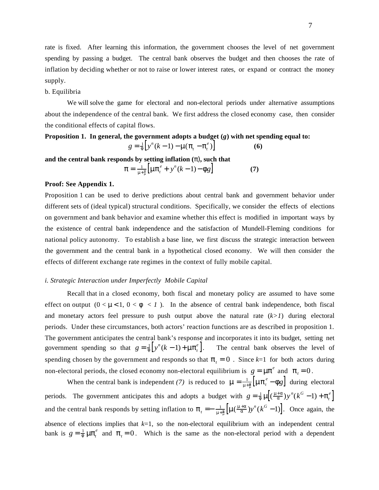rate is fixed. After learning this information, the government chooses the level of net government spending by passing a budget. The central bank observes the budget and then chooses the rate of inflation by deciding whether or not to raise or lower interest rates, or expand or contract the money supply.

#### b. Equilibria

We will solve the game for electoral and non-electoral periods under alternative assumptions about the independence of the central bank. We first address the closed economy case, then consider the conditional effects of capital flows.

## **Proposition 1. In general, the government adopts a budget (***g***) with net spending equal to:**  $g = \frac{1}{2} \left[ y^n (k-1) - \mu \left( t - \frac{e}{t} \right) \right]$  (6)

**and the central bank responds by setting inflation (** )**, such that**

$$
= \frac{1}{\mu + \frac{1}{\mu}} \Big[ \mu \Big[ \frac{e}{t} + y^{n} (k-1) - g \Big] \tag{7}
$$

#### **Proof: See Appendix 1.**

Proposition 1 can be used to derive predictions about central bank and government behavior under different sets of (ideal typical) structural conditions. Specifically, we consider the effects of elections on government and bank behavior and examine whether this effect is modified in important ways by the existence of central bank independence and the satisfaction of Mundell-Fleming conditions for national policy autonomy. To establish a base line, we first discuss the strategic interaction between the government and the central bank in a hypothetical closed economy. We will then consider the effects of different exchange rate regimes in the context of fully mobile capital.

#### *i. Strategic Interaction under Imperfectly Mobile Capital*

Recall that in a closed economy, both fiscal and monetary policy are assumed to have some effect on output  $(0 < \mu < 1, 0 < \ell < 1)$ . In the absence of central bank independence, both fiscal and monetary actors feel pressure to push output above the natural rate (*k>1*) during electoral periods. Under these circumstances, both actors' reaction functions are as described in proposition 1. The government anticipates the central bank's response and incorporates it into its budget, setting net government spending so that  $g = \frac{1}{\nu} \left[ y^n (k-1) + \mu \frac{e}{\nu} \right]$ . The central bank observes the level of spending chosen by the government and responds so that  $t = 0$ . Since  $k=1$  for both actors during non-electoral periods, the closed economy non-electoral equilibrium is  $g = \mu^e$  and  $t = 0$ .

When the central bank is independent *(7)* is reduced to  $\mu = \frac{1}{\mu + \frac{1}{\mu}} \left[ \mu \frac{e}{t} - g \right]$  during electoral periods. The government anticipates this and adopts a budget with  $g = \frac{1}{\mu} \left[ \left( \frac{\mu}{\mu} \right) y^n (k^G - 1) + \frac{e}{t} \right]$ and the central bank responds by setting inflation to  $t = -\frac{1}{\mu + \frac{1}{\mu}} \left[ \mu \left( \frac{\mu + \mu}{\mu} \right) y^n (k^G - 1) \right]$ . Once again, the absence of elections implies that *k*=1, so the non-electoral equilibrium with an independent central bank is  $g = \frac{1}{t} \mu \int_{t}^{e}$  and  $t = 0$ . Which is the same as the non-electoral period with a dependent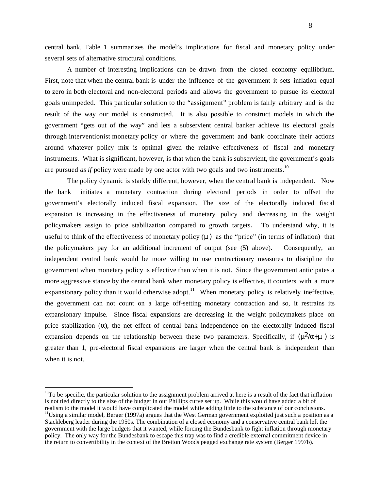central bank. Table 1 summarizes the model's implications for fiscal and monetary policy under several sets of alternative structural conditions.

A number of interesting implications can be drawn from the closed economy equilibrium. First, note that when the central bank is under the influence of the government it sets inflation equal to zero in both electoral and non-electoral periods and allows the government to pursue its electoral goals unimpeded. This particular solution to the "assignment" problem is fairly arbitrary and is the result of the way our model is constructed. It is also possible to construct models in which the government "gets out of the way" and lets a subservient central banker achieve its electoral goals through interventionist monetary policy or where the government and bank coordinate their actions around whatever policy mix is optimal given the relative effectiveness of fiscal and monetary instruments. What is significant, however, is that when the bank is subservient, the government's goals are pursued *as if* policy were made by one actor with two goals and two instruments.<sup>10</sup>

The policy dynamic is starkly different, however, when the central bank is independent. Now the bank initiates a monetary contraction during electoral periods in order to offset the government's electorally induced fiscal expansion. The size of the electorally induced fiscal expansion is increasing in the effectiveness of monetary policy and decreasing in the weight policymakers assign to price stabilization compared to growth targets. To understand why, it is useful to think of the effectiveness of monetary policy  $(\mu)$  as the "price" (in terms of inflation) that the policymakers pay for an additional increment of output (see (5) above). Consequently, an independent central bank would be more willing to use contractionary measures to discipline the government when monetary policy is effective than when it is not. Since the government anticipates a more aggressive stance by the central bank when monetary policy is effective, it counters with a more expansionary policy than it would otherwise adopt.<sup>11</sup> When monetary policy is relatively ineffective, the government can not count on a large off-setting monetary contraction and so, it restrains its expansionary impulse. Since fiscal expansions are decreasing in the weight policymakers place on price stabilization ( ), the net effect of central bank independence on the electorally induced fiscal expansion depends on the relationship between these two parameters. Specifically, if  $(\mu^2 / +\mu)$  is greater than 1, pre-electoral fiscal expansions are larger when the central bank is independent than when it is not.

 $10$ To be specific, the particular solution to the assignment problem arrived at here is a result of the fact that inflation is not tied directly to the size of the budget in our Phillips curve set up. While this would have added a bit of realism to the model it would have complicated the model while adding little to the substance of our conclusions.

 $11$ Using a similar model, Berger (1997a) argues that the West German government exploited just such a position as a Stackleberg leader during the 1950s. The combination of a closed economy and a conservative central bank left the government with the large budgets that it wanted, while forcing the Bundesbank to fight inflation through monetary policy. The only way for the Bundesbank to escape this trap was to find a credible external commitment device in the return to convertibility in the context of the Bretton Woods pegged exchange rate system (Berger 1997b).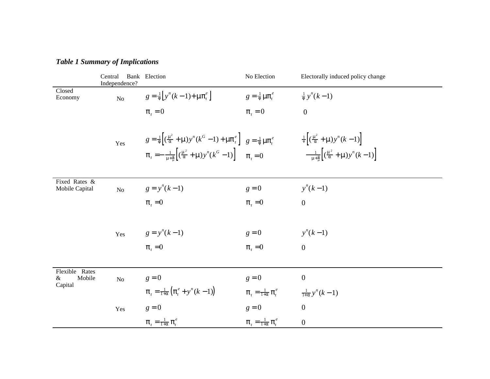|                                             | Central<br>Independence? | Bank Election                                                                                                                                                                                                                                          | No Election                        | Electorally induced policy change                                                                                                                                        |
|---------------------------------------------|--------------------------|--------------------------------------------------------------------------------------------------------------------------------------------------------------------------------------------------------------------------------------------------------|------------------------------------|--------------------------------------------------------------------------------------------------------------------------------------------------------------------------|
| Closed<br>Economy                           | $\overline{N}$           | $g = \frac{1}{y^n(k-1)} + \mu \left( \frac{e}{t} \right)$                                                                                                                                                                                              | $g = \frac{1}{t} \mu \int_{t}^{e}$ | $\frac{1}{2}y^{n}(k-1)$                                                                                                                                                  |
|                                             |                          | $t = 0$                                                                                                                                                                                                                                                | $t_0 = 0$                          | $\boldsymbol{0}$                                                                                                                                                         |
|                                             | Yes                      | $g = \frac{1}{4} \left[ \left( \frac{\mu^2}{4} + \mu \right) y^n (k^G - 1) + \mu \right]_{t=0}^{e} g = \frac{1}{4} \mu \left[ \frac{e}{k} \right]$<br>$t = -\frac{1}{u+\pi} \left[ \left( \frac{\mu^2}{2} + \mu \right) y^n (k^G - 1) \right]$ $t = 0$ |                                    | $\frac{1}{2} \left[ \left( \frac{\mu^2}{2} + \mu \right) y^n (k-1) \right]$<br>$-\frac{1}{\mu+\frac{1}{n}}\left[ \left( \frac{\mu^2}{2} + \mu \right) y^n (k-1) \right]$ |
|                                             |                          |                                                                                                                                                                                                                                                        |                                    |                                                                                                                                                                          |
| Fixed Rates &<br>Mobile Capital             | No                       | $g = y^n(k-1)$                                                                                                                                                                                                                                         | $g = 0$                            | $y^n(k-1)$                                                                                                                                                               |
|                                             |                          | $t = 0$                                                                                                                                                                                                                                                | $t = 0$                            | $\overline{0}$                                                                                                                                                           |
|                                             |                          |                                                                                                                                                                                                                                                        |                                    |                                                                                                                                                                          |
|                                             | Yes                      | $g = y^n(k-1)$                                                                                                                                                                                                                                         | $g = 0$                            | $y^n(k-1)$                                                                                                                                                               |
|                                             |                          | $t = 0$                                                                                                                                                                                                                                                | $t = 0$                            | $\mathbf{0}$                                                                                                                                                             |
|                                             |                          |                                                                                                                                                                                                                                                        |                                    |                                                                                                                                                                          |
| Flexible<br>Rates<br>Mobile<br>&<br>Capital | No                       | $g = 0$                                                                                                                                                                                                                                                | $g = 0$                            | $\overline{0}$                                                                                                                                                           |
|                                             |                          | $_{t} = \frac{1}{1+} \left( \begin{array}{c} e \\ t \end{array} + y^{n} (k-1) \right)$                                                                                                                                                                 | $t = \frac{1}{1+} e$               | $\frac{1}{1+} y^n (k-1)$                                                                                                                                                 |
|                                             | Yes                      | $g = 0$                                                                                                                                                                                                                                                | $g = 0$                            | $\overline{0}$                                                                                                                                                           |
|                                             |                          | $t = \frac{1}{1+}$ $\frac{e}{t}$                                                                                                                                                                                                                       | $t = \frac{1}{1+}$ $\frac{e}{t}$   | $\boldsymbol{0}$                                                                                                                                                         |

# *Table 1 Summary of Implications*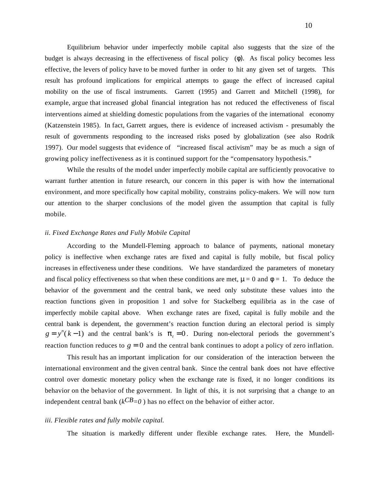Equilibrium behavior under imperfectly mobile capital also suggests that the size of the budget is always decreasing in the effectiveness of fiscal policy (except ). As fiscal policy becomes less effective, the levers of policy have to be moved further in order to hit any given set of targets. This result has profound implications for empirical attempts to gauge the effect of increased capital mobility on the use of fiscal instruments. Garrett (1995) and Garrett and Mitchell (1998), for example, argue that increased global financial integration has not reduced the effectiveness of fiscal interventions aimed at shielding domestic populations from the vagaries of the international economy (Katzenstein 1985). In fact, Garrett argues, there is evidence of increased activism - presumably the result of governments responding to the increased risks posed by globalization (see also Rodrik 1997). Our model suggests that evidence of "increased fiscal activism" may be as much a sign of growing policy ineffectiveness as it is continued support for the "compensatory hypothesis."

While the results of the model under imperfectly mobile capital are sufficiently provocative to warrant further attention in future research, our concern in this paper is with how the international environment, and more specifically how capital mobility, constrains policy-makers. We will now turn our attention to the sharper conclusions of the model given the assumption that capital is fully mobile.

#### *ii. Fixed Exchange Rates and Fully Mobile Capital*

According to the Mundell-Fleming approach to balance of payments, national monetary policy is ineffective when exchange rates are fixed and capital is fully mobile, but fiscal policy increases in effectiveness under these conditions. We have standardized the parameters of monetary and fiscal policy effectiveness so that when these conditions are met,  $\mu = 0$  and  $= 1$ . To deduce the behavior of the government and the central bank, we need only substitute these values into the reaction functions given in proposition 1 and solve for Stackelberg equilibria as in the case of imperfectly mobile capital above. When exchange rates are fixed, capital is fully mobile and the central bank is dependent, the government's reaction function during an electoral period is simply  $g = y^n(k-1)$  and the central bank's is  $t = 0$ . During non-electoral periods the government's reaction function reduces to  $g = 0$  and the central bank continues to adopt a policy of zero inflation.

This result has an important implication for our consideration of the interaction between the international environment and the given central bank. Since the central bank does not have effective control over domestic monetary policy when the exchange rate is fixed, it no longer conditions its behavior on the behavior of the government. In light of this, it is not surprising that a change to an independent central bank ( $k^{CB}=0$ ) has no effect on the behavior of either actor.

#### *iii. Flexible rates and fully mobile capital.*

The situation is markedly different under flexible exchange rates. Here, the Mundell-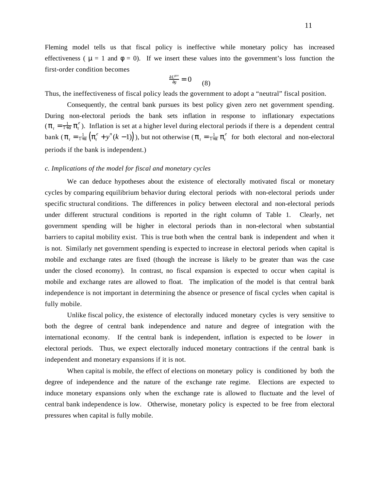Fleming model tells us that fiscal policy is ineffective while monetary policy has increased effectiveness ( $\mu = 1$  and  $\mu = 0$ ). If we insert these values into the government's loss function the first-order condition becomes

$$
\frac{L^{gov}}{g} = 0 \qquad (8)
$$

Thus, the ineffectiveness of fiscal policy leads the government to adopt a "neutral" fiscal position.

Consequently, the central bank pursues its best policy given zero net government spending. During non-electoral periods the bank sets inflation in response to inflationary expectations  $\binom{t}{t} = \frac{1}{1+t}$   $\binom{e}{t}$ . Inflation is set at a higher level during electoral periods if there is a dependent central bank  $\left(\begin{array}{c}i\\ t\end{array}\right)=\frac{1}{1+}\left(\begin{array}{c}e\\ t\end{array}+y^n(k-1)\right)$ , but not otherwise  $\left(\begin{array}{c}e\\ t\end{array}\right)=\frac{1}{1+}\left(\begin{array}{c}e\\ t\end{array}\right)$  for both electoral and non-electoral periods if the bank is independent.)

#### *c. Implications of the model for fiscal and monetary cycles*

We can deduce hypotheses about the existence of electorally motivated fiscal or monetary cycles by comparing equilibrium behavior during electoral periods with non-electoral periods under specific structural conditions. The differences in policy between electoral and non-electoral periods under different structural conditions is reported in the right column of Table 1. Clearly, net government spending will be higher in electoral periods than in non-electoral when substantial barriers to capital mobility exist. This is true both when the central bank is independent and when it is not. Similarly net government spending is expected to increase in electoral periods when capital is mobile and exchange rates are fixed (though the increase is likely to be greater than was the case under the closed economy). In contrast, no fiscal expansion is expected to occur when capital is mobile and exchange rates are allowed to float. The implication of the model is that central bank independence is not important in determining the absence or presence of fiscal cycles when capital is fully mobile.

Unlike fiscal policy, the existence of electorally induced monetary cycles is very sensitive to both the degree of central bank independence and nature and degree of integration with the international economy. If the central bank is independent, inflation is expected to be *lower* in electoral periods. Thus, we expect electorally induced monetary contractions if the central bank is independent and monetary expansions if it is not.

When capital is mobile, the effect of elections on monetary policy is conditioned by both the degree of independence and the nature of the exchange rate regime. Elections are expected to induce monetary expansions only when the exchange rate is allowed to fluctuate and the level of central bank independence is low. Otherwise, monetary policy is expected to be free from electoral pressures when capital is fully mobile.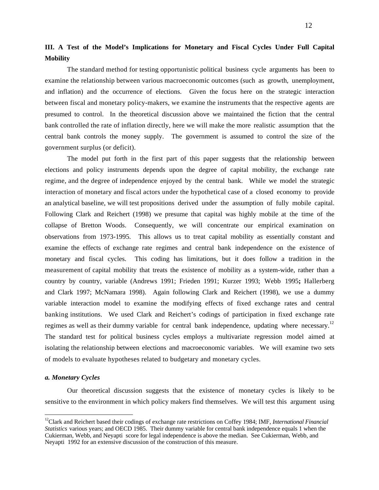## **III. A Test of the Model's Implications for Monetary and Fiscal Cycles Under Full Capital Mobility**

The standard method for testing opportunistic political business cycle arguments has been to examine the relationship between various macroeconomic outcomes (such as growth, unemployment, and inflation) and the occurrence of elections. Given the focus here on the strategic interaction between fiscal and monetary policy-makers, we examine the instruments that the respective agents are presumed to control. In the theoretical discussion above we maintained the fiction that the central bank controlled the rate of inflation directly, here we will make the more realistic assumption that the central bank controls the money supply. The government is assumed to control the size of the government surplus (or deficit).

The model put forth in the first part of this paper suggests that the relationship between elections and policy instruments depends upon the degree of capital mobility, the exchange rate regime, and the degree of independence enjoyed by the central bank. While we model the strategic interaction of monetary and fiscal actors under the hypothetical case of a closed economy to provide an analytical baseline, we will test propositions derived under the assumption of fully mobile capital. Following Clark and Reichert (1998) we presume that capital was highly mobile at the time of the collapse of Bretton Woods. Consequently, we will concentrate our empirical examination on observations from 1973-1995. This allows us to treat capital mobility as essentially constant and examine the effects of exchange rate regimes and central bank independence on the existence of monetary and fiscal cycles. This coding has limitations, but it does follow a tradition in the measurement of capital mobility that treats the existence of mobility as a system-wide, rather than a country by country, variable (Andrews 1991; Frieden 1991; Kurzer 1993; Webb 1995**;** Hallerberg and Clark 1997; McNamara 1998). Again following Clark and Reichert (1998), we use a dummy variable interaction model to examine the modifying effects of fixed exchange rates and central banking institutions. We used Clark and Reichert's codings of participation in fixed exchange rate regimes as well as their dummy variable for central bank independence, updating where necessary.<sup>12</sup> The standard test for political business cycles employs a multivariate regression model aimed at isolating the relationship between elections and macroeconomic variables. We will examine two sets of models to evaluate hypotheses related to budgetary and monetary cycles.

#### *a. Monetary Cycles*

Our theoretical discussion suggests that the existence of monetary cycles is likely to be sensitive to the environment in which policy makers find themselves. We will test this argument using

<sup>&</sup>lt;sup>12</sup>Clark and Reichert based their codings of exchange rate restrictions on Coffey 1984; IMF, *International Financial Statistics* various years; and OECD 1985. Their dummy variable for central bank independence equals 1 when the Cukierman, Webb, and Neyapti score for legal independence is above the median. See Cukierman, Webb, and Neyapti 1992 for an extensive discussion of the construction of this measure.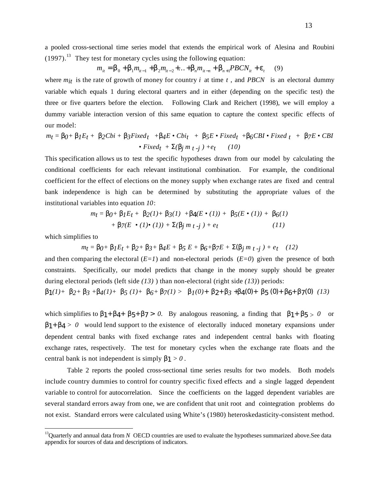a pooled cross-sectional time series model that extends the empirical work of Alesina and Roubini  $(1997).$ <sup>13</sup> They test for monetary cycles using the following equation:

> $m_{it} = 0 + 1m_{it-1} + 2m_{it-2} + \ldots + m_{it-n} + 1PBCN_{it} + t$ (9)

where  $m_{it}$  is the rate of growth of money for country *i* at time *t*, and *PBCN* is an electoral dummy variable which equals 1 during electoral quarters and in either (depending on the specific test) the three or five quarters before the election. Following Clark and Reichert (1998), we will employ a dummy variable interaction version of this same equation to capture the context specific effects of our model:

$$
m_t = 0 + 1E_t + 2Cbi + 3Fixed_t + 4E \cdot Cbi_t + 5E \cdot Fixed_t + 6CBI \cdot Fixed_t + 7E \cdot CBI
$$
  
• Fixed\_t + (jm t - j) + e\_t (10)

This specification allows us to test the specific hypotheses drawn from our model by calculating the conditional coefficients for each relevant institutional combination. For example, the conditional coefficient for the effect of elections on the money supply when exchange rates are fixed and central bank independence is high can be determined by substituting the appropriate values of the institutional variables into equation *10*:

$$
m_t = 0 + 1E_t + 2(1) + 3(1) + 4(E \cdot (1)) + 5(E \cdot (1)) + 6(1) + 7(E \cdot (1) \cdot (1)) + (jm_t + j) + e_t \qquad (11)
$$

which simplifies to

 $m_t = 0 + 1E_t + 2 + 3 + 4E + 5E + 6 + 7E + (jm_t + j) + e_t$  (12)

and then comparing the electoral  $(E=1)$  and non-electoral periods  $(E=0)$  given the presence of both constraints. Specifically, our model predicts that change in the money supply should be greater during electoral periods (left side *(13)* ) than non-electoral (right side *(13)*) periods:

 $1(1)+ 2+ 3+ 4(1)+ 5(1)+ 6+ 7(1)$  >  $1(0)+ 2+ 3+ 4(0)+ 5(0)+ 6+ 7(0)$  (13)

which simplifies to  $1+ 4+ 5+ 7 > 0$ . By analogous reasoning, a finding that  $1+ 5 > 0$  or 1+ 4 > 0 would lend support to the existence of electorally induced monetary expansions under dependent central banks with fixed exchange rates and independent central banks with floating exchange rates, respectively. The test for monetary cycles when the exchange rate floats and the central bank is not independent is simply  $1 > 0$ .

Table 2 reports the pooled cross-sectional time series results for two models. Both models include country dummies to control for country specific fixed effects and a single lagged dependent variable to control for autocorrelation. Since the coefficients on the lagged dependent variables are several standard errors away from one, we are confident that unit root and cointegration problems do not exist. Standard errors were calculated using White's (1980) heteroskedasticity-consistent method.

<sup>&</sup>lt;sup>13</sup>Quarterly and annual data from *N* OECD countries are used to evaluate the hypotheses summarized above.See data appendix for sources of data and descriptions of indicators.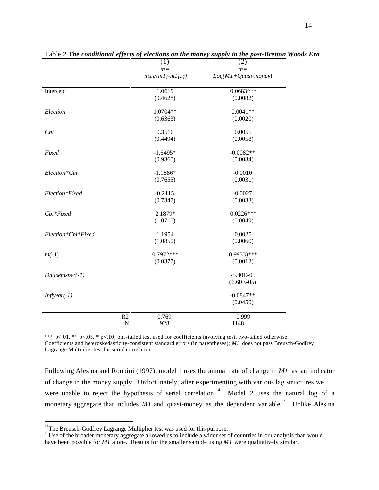|             | $\overline{(1)}$ | (2)                                                                                                                                                 |
|-------------|------------------|-----------------------------------------------------------------------------------------------------------------------------------------------------|
|             | $m=$             | $m=$                                                                                                                                                |
|             |                  | $Log(M1+Quasi-money)$                                                                                                                               |
|             |                  | $0.0683***$                                                                                                                                         |
|             |                  |                                                                                                                                                     |
|             |                  | (0.0082)                                                                                                                                            |
|             | 1.0704**         | $0.0041**$                                                                                                                                          |
|             | (0.6363)         | (0.0020)                                                                                                                                            |
|             |                  | 0.0055                                                                                                                                              |
|             |                  | (0.0058)                                                                                                                                            |
|             |                  |                                                                                                                                                     |
|             | $-1.6495*$       | $-0.0082**$                                                                                                                                         |
|             |                  | (0.0034)                                                                                                                                            |
|             |                  | $-0.0010$                                                                                                                                           |
|             |                  | (0.0031)                                                                                                                                            |
|             |                  |                                                                                                                                                     |
|             | $-0.2115$        | $-0.0027$                                                                                                                                           |
|             | (0.7347)         | (0.0033)                                                                                                                                            |
|             |                  | $0.0226***$                                                                                                                                         |
|             | (1.0710)         | (0.0049)                                                                                                                                            |
|             |                  | 0.0025                                                                                                                                              |
|             |                  | (0.0060)                                                                                                                                            |
|             |                  |                                                                                                                                                     |
|             | $0.7972***$      | $0.9933$ )***                                                                                                                                       |
|             | (0.0377)         | (0.0012)                                                                                                                                            |
|             |                  | $-5.80E-05$                                                                                                                                         |
|             |                  | $(6.60E-05)$                                                                                                                                        |
|             |                  |                                                                                                                                                     |
|             |                  | $-0.0847**$                                                                                                                                         |
|             |                  | (0.0450)                                                                                                                                            |
| R2          | 0.769            | 0.999                                                                                                                                               |
| $\mathbf N$ | 928              | 1148                                                                                                                                                |
|             |                  | $m l_{t}/(m l_{t}$ - $ml_{t-4})$<br>1.0619<br>(0.4628)<br>0.3510<br>(0.4494)<br>(0.9360)<br>$-1.1886*$<br>(0.7655)<br>2.1879*<br>1.1954<br>(1.0850) |

Table 2 *The conditional effects of elections on the money supply in the post-Bretton Woods Era*

\*\*\* p<.01, \*\* p<.05, \* p<.10; one-tailed test used for coefficients involving test, two-tailed otherwise. Coefficients and heteroskedasticity-consistent standard errors (in parentheses); *M1* does not pass Breusch-Godfrey Lagrange Multiplier test for serial correlation.

Following Alesina and Roubini (1997), model 1 uses the annual rate of change in *M1* as an indicator of change in the money supply. Unfortunately, after experimenting with various lag structures we were unable to reject the hypothesis of serial correlation.<sup>14</sup> Model 2 uses the natural log of a monetary aggregate that includes *M1* and quasi-money as the dependent variable.<sup>15</sup> Unlike Alesina

<sup>&</sup>lt;sup>14</sup>The Breusch-Godfrey Lagrange Multiplier test was used for this purpose.

<sup>&</sup>lt;sup>15</sup>Use of the broader monetary aggregate allowed us to include a wider set of countries in our analysis than would have been possible for *M1* alone. Results for the smaller sample using *M1* were qualitatively similar.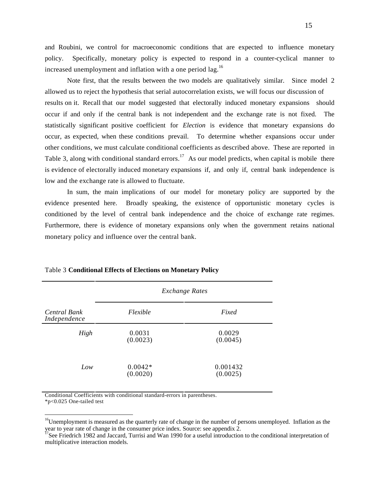and Roubini, we control for macroeconomic conditions that are expected to influence monetary policy. Specifically, monetary policy is expected to respond in a counter-cyclical manner to increased unemployment and inflation with a one period lag.<sup>16</sup>

Note first, that the results between the two models are qualitatively similar. Since model 2 allowed us to reject the hypothesis that serial autocorrelation exists, we will focus our discussion of results on it. Recall that our model suggested that electorally induced monetary expansions should occur if and only if the central bank is not independent and the exchange rate is not fixed. The statistically significant positive coefficient for *Election* is evidence that monetary expansions do occur, as expected, when these conditions prevail. To determine whether expansions occur under other conditions, we must calculate conditional coefficients as described above. These are reported in Table 3, along with conditional standard errors.<sup>17</sup> As our model predicts, when capital is mobile there is evidence of electorally induced monetary expansions if, and only if, central bank independence is low and the exchange rate is allowed to fluctuate.

In sum, the main implications of our model for monetary policy are supported by the evidence presented here. Broadly speaking, the existence of opportunistic monetary cycles is conditioned by the level of central bank independence and the choice of exchange rate regimes. Furthermore, there is evidence of monetary expansions only when the government retains national monetary policy and influence over the central bank.

|                                     | <b>Exchange Rates</b> |                      |  |
|-------------------------------------|-----------------------|----------------------|--|
| <b>Central Bank</b><br>Independence | Flexible              | Fixed                |  |
| High                                | 0.0031<br>(0.0023)    | 0.0029<br>(0.0045)   |  |
| Low                                 | $0.0042*$<br>(0.0020) | 0.001432<br>(0.0025) |  |

#### Table 3 **Conditional Effects of Elections on Monetary Policy**

Conditional Coefficients with conditional standard-errors in parentheses. \*p<0.025 One-tailed test

<sup>&</sup>lt;sup>16</sup>Unemployment is measured as the quarterly rate of change in the number of persons unemployed. Inflation as the year to year rate of change in the consumer price index. Source: see appendix 2.

 $17$ See Friedrich 1982 and Jaccard, Turrisi and Wan 1990 for a useful introduction to the conditional interpretation of multiplicative interaction models.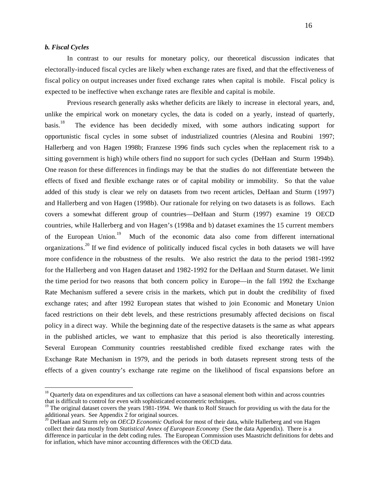#### *b. Fiscal Cycles*

In contrast to our results for monetary policy, our theoretical discussion indicates that electorally-induced fiscal cycles are likely when exchange rates are fixed, and that the effectiveness of fiscal policy on output increases under fixed exchange rates when capital is mobile. Fiscal policy is expected to be ineffective when exchange rates are flexible and capital is mobile.

Previous research generally asks whether deficits are likely to increase in electoral years, and, unlike the empirical work on monetary cycles, the data is coded on a yearly, instead of quarterly, basis.<sup>18</sup> The evidence has been decidedly mixed, with some authors indicating support for opportunistic fiscal cycles in some subset of industrialized countries (Alesina and Roubini 1997; Hallerberg and von Hagen 1998b; Franzese 1996 finds such cycles when the replacement risk to a sitting government is high) while others find no support for such cycles (DeHaan and Sturm 1994b). One reason for these differences in findings may be that the studies do not differentiate between the effects of fixed and flexible exchange rates or of capital mobility or immobility. So that the value added of this study is clear we rely on datasets from two recent articles, DeHaan and Sturm (1997) and Hallerberg and von Hagen (1998b). Our rationale for relying on two datasets is as follows. Each covers a somewhat different group of countries—DeHaan and Sturm (1997) examine 19 OECD countries, while Hallerberg and von Hagen's (1998a and b) dataset examines the 15 current members of the European Union.<sup>19</sup> Much of the economic data also come from different international organizations.<sup>20</sup> If we find evidence of politically induced fiscal cycles in both datasets we will have more confidence in the robustness of the results. We also restrict the data to the period 1981-1992 for the Hallerberg and von Hagen dataset and 1982-1992 for the DeHaan and Sturm dataset. We limit the time period for two reasons that both concern policy in Europe—in the fall 1992 the Exchange Rate Mechanism suffered a severe crisis in the markets, which put in doubt the credibility of fixed exchange rates; and after 1992 European states that wished to join Economic and Monetary Union faced restrictions on their debt levels, and these restrictions presumably affected decisions on fiscal policy in a direct way. While the beginning date of the respective datasets is the same as what appears in the published articles, we want to emphasize that this period is also theoretically interesting. Several European Community countries reestablished credible fixed exchange rates with the Exchange Rate Mechanism in 1979, and the periods in both datasets represent strong tests of the effects of a given country's exchange rate regime on the likelihood of fiscal expansions before an

<sup>&</sup>lt;sup>18</sup> Quarterly data on expenditures and tax collections can have a seasonal element both within and across countries that is difficult to control for even with sophisticated econometric techniques.

<sup>&</sup>lt;sup>19</sup> The original dataset covers the years 1981-1994. We thank to Rolf Strauch for providing us with the data for the additional years. See Appendix 2 for original sources.

<sup>20</sup> DeHaan and Sturm rely on *OECD Economic Outlook* for most of their data, while Hallerberg and von Hagen collect their data mostly from *Statistical Annex of European Economy* (See the data Appendix). There is a difference in particular in the debt coding rules. The European Commission uses Maastricht definitions for debts and for inflation, which have minor accounting differences with the OECD data.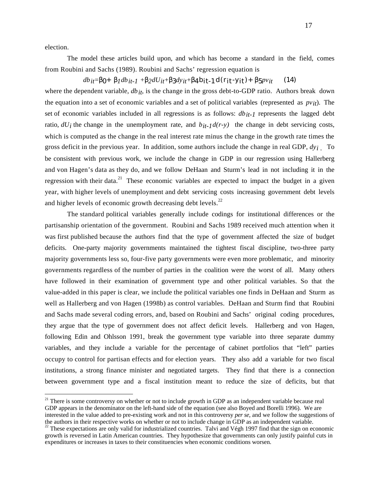election.

The model these articles build upon, and which has become a standard in the field, comes from Roubini and Sachs (1989). Roubini and Sachs' regression equation is

 $db_{it} = 0+$  *1db<sub>it-1</sub>* +  $2dU_{it} + 3dy_{it} + 4b_{it} - 1d(r_{it} - y_{it}) + 5pv_{it}$  (14) where the dependent variable, *db* i<sub>t</sub>, is the change in the gross debt-to-GDP ratio. Authors break down the equation into a set of economic variables and a set of political variables (represented as *pvit*). The set of economic variables included in all regressions is as follows: *dbit-1* represents the lagged debt ratio,  $dU_i$  the change in the unemployment rate, and  $b_{it-1}d(r-y)$  the change in debt servicing costs, which is computed as the change in the real interest rate minus the change in the growth rate times the gross deficit in the previous year. In addition, some authors include the change in real GDP, *dyi* . To be consistent with previous work, we include the change in GDP in our regression using Hallerberg and von Hagen's data as they do, and we follow DeHaan and Sturm's lead in not including it in the regression with their data.<sup>21</sup> These economic variables are expected to impact the budget in a given year, with higher levels of unemployment and debt servicing costs increasing government debt levels and higher levels of economic growth decreasing debt levels. $^{22}$ 

The standard political variables generally include codings for institutional differences or the partisanship orientation of the government. Roubini and Sachs 1989 received much attention when it was first published because the authors find that the type of government affected the size of budget deficits. One-party majority governments maintained the tightest fiscal discipline, two-three party majority governments less so, four-five party governments were even more problematic, and minority governments regardless of the number of parties in the coalition were the worst of all. Many others have followed in their examination of government type and other political variables. So that the value-added in this paper is clear, we include the political variables one finds in DeHaan and Sturm as well as Hallerberg and von Hagen (1998b) as control variables. DeHaan and Sturm find that Roubini and Sachs made several coding errors, and, based on Roubini and Sachs' original coding procedures, they argue that the type of government does not affect deficit levels. Hallerberg and von Hagen, following Edin and Ohlsson 1991, break the government type variable into three separate dummy variables, and they include a variable for the percentage of cabinet portfolios that "left" parties occupy to control for partisan effects and for election years. They also add a variable for two fiscal institutions, a strong finance minister and negotiated targets. They find that there is a connection between government type and a fiscal institution meant to reduce the size of deficits, but that

 $21$  There is some controversy on whether or not to include growth in GDP as an independent variable because real GDP appears in the denominator on the left-hand side of the equation (see also Boyed and Borelli 1996). We are interested in the value added to pre-existing work and not in this controversy *per se*, and we follow the suggestions of the authors in their respective works on whether or not to include change in GDP as an independent variable.

 $22$  These expectations are only valid for industrialized countries. Talvi and Végh 1997 find that the sign on economic growth is reversed in Latin American countries. They hypothesize that governments can only justify painful cuts in expenditures or increases in taxes to their constituencies when economic conditions worsen.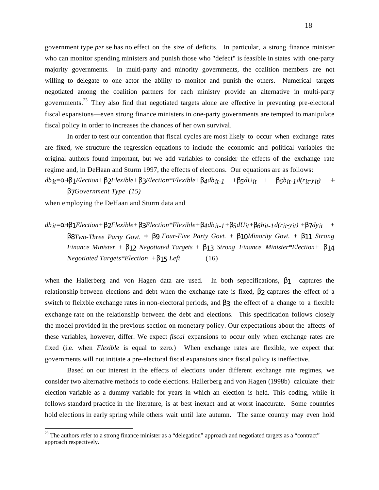government type *per* se has no effect on the size of deficits. In particular, a strong finance minister who can monitor spending ministers and punish those who "defect" is feasible in states with one-party majority governments. In multi-party and minority governments, the coalition members are not willing to delegate to one actor the ability to monitor and punish the others. Numerical targets negotiated among the coalition partners for each ministry provide an alternative in multi-party governments.<sup>23</sup> They also find that negotiated targets alone are effective in preventing pre-electoral fiscal expansions—even strong finance ministers in one-party governments are tempted to manipulate fiscal policy in order to increases the chances of her own survival.

In order to test our contention that fiscal cycles are most likely to occur when exchange rates are fixed, we structure the regression equations to include the economic and political variables the original authors found important, but we add variables to consider the effects of the exchange rate regime and, in DeHaan and Sturm 1997, the effects of elections. Our equations are as follows:

 $db_{it}$  + 1*Election+* 2*Flexible+* 3*Election\*Flexible+* 4*db*<sub>it-1</sub> + 5*dU*<sub>it</sub> + 6*b*<sub>it-1</sub>*d*(*r*<sub>it</sub>-y<sub>it</sub>) + 7*Government Type (15)*

when employing the DeHaan and Sturm data and

 $db_{it}$ = + 1*Election+* 2*Flexible+* 3*Election\*Flexible+*  $4db_{it-1}$ +  $5dU_{it}$ +  $6b_{it-1}d(r_{it-1}y_{it})$  +  $7dy_{it}$  + 8*Two-Three Party Govt.* + β9 *Four-Five Party Govt. +* 10*Minority Govt. +* 11 *Strong Finance Minister +* 12 *Negotiated Targets +* 13 *Strong Finance Minister\*Election+* 14 *Negotiated Targets\*Election +* 15 *Left* (16)

when the Hallerberg and von Hagen data are used. In both sepecifications, 1 captures the relationship between elections and debt when the exchange rate is fixed, 2 captures the effect of a switch to fleixble exchange rates in non-electoral periods, and 3 the effect of a change to a flexible exchange rate on the relationship between the debt and elections. This specification follows closely the model provided in the previous section on monetary policy. Our expectations about the affects of these variables, however, differ. We expect *fiscal* expansions to occur only when exchange rates are fixed (i.e. when *Flexible* is equal to zero.) When exchange rates are flexible, we expect that governments will not initiate a pre-electoral fiscal expansions since fiscal policy is ineffective,

Based on our interest in the effects of elections under different exchange rate regimes, we consider two alternative methods to code elections. Hallerberg and von Hagen (1998b) calculate their election variable as a dummy variable for years in which an election is held. This coding, while it follows standard practice in the literature, is at best inexact and at worst inaccurate. Some countries hold elections in early spring while others wait until late autumn. The same country may even hold

<sup>&</sup>lt;sup>23</sup> The authors refer to a strong finance minister as a "delegation" approach and negotiated targets as a "contract" approach respectively.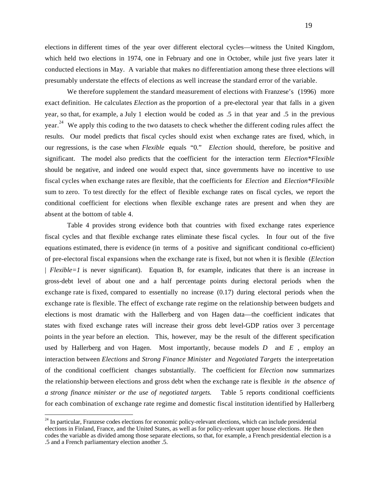elections in different times of the year over different electoral cycles—witness the United Kingdom, which held two elections in 1974, one in February and one in October, while just five years later it conducted elections in May. A variable that makes no differentiation among these three elections will presumably understate the effects of elections as well increase the standard error of the variable.

We therefore supplement the standard measurement of elections with Franzese's (1996) more exact definition. He calculates *Election* as the proportion of a pre-electoral year that falls in a given year, so that, for example, a July 1 election would be coded as .5 in that year and .5 in the previous year.<sup>24</sup> We apply this coding to the two datasets to check whether the different coding rules affect the results. Our model predicts that fiscal cycles should exist when exchange rates are fixed, which, in our regressions, is the case when *Flexible* equals "0." *Election* should, therefore, be positive and significant. The model also predicts that the coefficient for the interaction term *Election\*Flexible* should be negative, and indeed one would expect that, since governments have no incentive to use fiscal cycles when exchange rates are flexible, that the coefficients for *Election* and *Election\*Flexible* sum to zero. To test directly for the effect of flexible exchange rates on fiscal cycles, we report the conditional coefficient for elections when flexible exchange rates are present and when they are absent at the bottom of table 4.

Table 4 provides strong evidence both that countries with fixed exchange rates experience fiscal cycles and that flexible exchange rates eliminate these fiscal cycles. In four out of the five equations estimated, there is evidence (in terms of a positive and significant conditional co-efficient) of pre-electoral fiscal expansions when the exchange rate is fixed, but not when it is flexible (*Election* | *Flexible=1* is never significant). Equation B, for example, indicates that there is an increase in gross-debt level of about one and a half percentage points during electoral periods when the exchange rate is fixed, compared to essentially no increase (0.17) during electoral periods when the exchange rate is flexible. The effect of exchange rate regime on the relationship between budgets and elections is most dramatic with the Hallerberg and von Hagen data—the coefficient indicates that states with fixed exchange rates will increase their gross debt level-GDP ratios over 3 percentage points in the year before an election. This, however, may be the result of the different specification used by Hallerberg and von Hagen. Most importantly, because models *D* and *E* , employ an interaction between *Elections* and *Strong Finance Minister* and *Negotiated Targets* the interpretation of the conditional coefficient changes substantially. The coefficient for *Election* now summarizes the relationship between elections and gross debt when the exchange rate is flexible *in the absence of a strong finance minister or the use of negotiated targets.* Table 5 reports conditional coefficients for each combination of exchange rate regime and domestic fiscal institution identified by Hallerberg

 $24$  In particular, Franzese codes elections for economic policy-relevant elections, which can include presidential elections in Finland, France, and the United States, as well as for policy-relevant upper house elections. He then codes the variable as divided among those separate elections, so that, for example, a French presidential election is a .5 and a French parliamentary election another .5.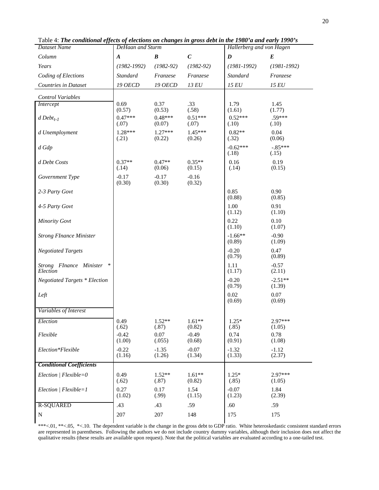| <b>Dataset Name</b>                           | and of executions on entinged in 8<br>, voo wee <i>e v</i> i<br>DeHaan and Sturm |                     | Hallerberg and von Hagen |                     |                     |
|-----------------------------------------------|----------------------------------------------------------------------------------|---------------------|--------------------------|---------------------|---------------------|
| Column                                        | A                                                                                | $\boldsymbol{B}$    | $\boldsymbol{C}$         | $\boldsymbol{D}$    | $\bm E$             |
| Years                                         | $(1982 - 1992)$                                                                  | $(1982-92)$         | $(1982 - 92)$            | $(1981 - 1992)$     | $(1981 - 1992)$     |
| Coding of Elections                           | <b>Standard</b>                                                                  | Franzese            | Franzese                 | <b>Standard</b>     | Franzese            |
| Countries in Dataset                          | <b>19 OECD</b>                                                                   | 19 OECD             | 13 EU                    | 15 EU               | 15 EU               |
| Control Variables                             |                                                                                  |                     |                          |                     |                     |
| Intercept                                     | 0.69<br>(0.57)                                                                   | 0.37<br>(0.53)      | .33<br>(.58)             | 1.79<br>(1.61)      | 1.45<br>(1.77)      |
| $d\,Debt_{t-1}$                               | $0.47***$                                                                        | $0.48***$           | $0.51***$                | $0.52***$           | $.59***$            |
|                                               | (.07)                                                                            | (0.07)              | (.07)                    | (.10)               | (.10)               |
| d Unemployment                                | $1.28***$<br>(.21)                                                               | $1.27***$<br>(0.22) | $1.45***$<br>(0.26)      | $0.82**$<br>(.32)   | 0.04<br>(0.06)      |
| d Gdp                                         |                                                                                  |                     |                          | $-0.62***$<br>(.18) | $-.85***$<br>(.15)  |
| d Debt Costs                                  | $0.37**$<br>(.14)                                                                | $0.47**$<br>(0.06)  | $0.35**$<br>(0.15)       | 0.16<br>(.14)       | 0.19<br>(0.15)      |
| Government Type                               | $-0.17$<br>(0.30)                                                                | $-0.17$<br>(0.30)   | $-0.16$<br>(0.32)        |                     |                     |
| 2-3 Party Govt                                |                                                                                  |                     |                          | 0.85<br>(0.88)      | 0.90<br>(0.85)      |
| 4-5 Party Govt                                |                                                                                  |                     |                          | 1.00<br>(1.12)      | 0.91<br>(1.10)      |
| <b>Minority Govt</b>                          |                                                                                  |                     |                          | 0.22<br>(1.10)      | 0.10<br>(1.07)      |
| <b>Strong FInance Minister</b>                |                                                                                  |                     |                          | $-1.66**$<br>(0.89) | $-0.90$<br>(1.09)   |
| <b>Negotiated Targets</b>                     |                                                                                  |                     |                          | $-0.20$<br>(0.79)   | 0.47<br>(0.89)      |
| Strong FInance Minister<br>$\ast$<br>Election |                                                                                  |                     |                          | 1.11<br>(1.17)      | $-0.57$<br>(2.11)   |
| <b>Negotiated Targets * Election</b>          |                                                                                  |                     |                          | $-0.20$<br>(0.79)   | $-2.51**$<br>(1.39) |
| Left                                          |                                                                                  |                     |                          | 0.02<br>(0.69)      | 0.07<br>(0.69)      |
| Variables of Interest                         |                                                                                  |                     |                          |                     |                     |
| Election                                      | 0.49<br>(.62)                                                                    | $1.52**$<br>(.87)   | $1.61**$<br>(0.82)       | $1.25*$<br>(.85)    | 2.97***<br>(1.05)   |
| Flexible                                      | $-0.42$<br>(1.00)                                                                | 0.07<br>(.055)      | $-0.49$<br>(0.68)        | 0.74<br>(0.91)      | 0.78<br>(1.08)      |
| Election*Flexible                             | $-0.22$<br>(1.16)                                                                | $-1.35$<br>(1.26)   | $-0.07$<br>(1.34)        | $-1.32$<br>(1.33)   | $-1.12$<br>(2.37)   |
| <b>Conditional Coefficients</b>               |                                                                                  |                     |                          |                     |                     |
| $Electronic / Flexible = 0$                   | 0.49<br>(.62)                                                                    | $1.52**$<br>(.87)   | $1.61**$<br>(0.82)       | $1.25*$<br>(.85)    | $2.97***$<br>(1.05) |
| $Electronic / Flexible = 1$                   | 0.27<br>(1.02)                                                                   | 0.17<br>(.99)       | 1.54<br>(1.15)           | $-0.07$<br>(1.23)   | 1.84<br>(2.39)      |
| <b>R-SQUARED</b>                              | .43                                                                              | .43                 | .59                      | .60                 | .59                 |
| ${\bf N}$                                     | 207                                                                              | 207                 | 148                      | 175                 | 175                 |

Table 4: *The conditional effects of elections on changes in gross debt in the 1980'a and early 1990's*

\*\*\*<.01, \*\*<.05, \*<.10. The dependent variable is the change in the gross debt to GDP ratio. White heteroskedastic consistent standard errors are represented in parentheses. Following the authors we do not include country dummy variables, although their inclusion does not affect the qualitative results (these results are available upon request). Note that the political variables are evaluated according to a one-tailed test.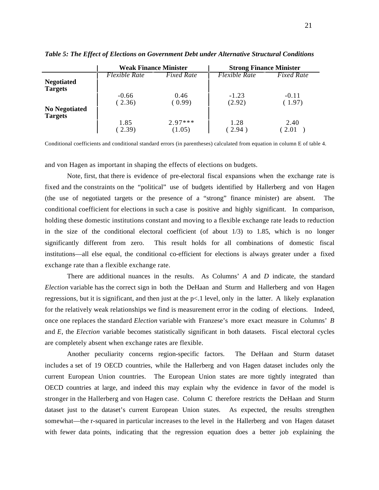|                                        | <b>Weak Finance Minister</b> |                   | <b>Strong Finance Minister</b> |                   |
|----------------------------------------|------------------------------|-------------------|--------------------------------|-------------------|
|                                        | Flexible Rate                | <i>Fixed Rate</i> | Flexible Rate                  | <b>Fixed Rate</b> |
| <b>Negotiated</b><br><b>Targets</b>    |                              |                   |                                |                   |
|                                        | $-0.66$                      | 0.46              | $-1.23$                        | $-0.11$           |
|                                        | (2.36)                       | (0.99)            | (2.92)                         | (1.97)            |
| <b>No Negotiated</b><br><b>Targets</b> |                              |                   |                                |                   |
|                                        | 1.85                         | $2.97***$         | 1.28                           | 2.40              |
|                                        | (2.39)                       | (1.05)            | 2.94                           | 2.01              |

*Table 5: The Effect of Elections on Government Debt under Alternative Structural Conditions*

Conditional coefficients and conditional standard errors (in parentheses) calculated from equation in column E of table 4.

and von Hagen as important in shaping the effects of elections on budgets.

Note, first, that there is evidence of pre-electoral fiscal expansions when the exchange rate is fixed and the constraints on the "political" use of budgets identified by Hallerberg and von Hagen (the use of negotiated targets or the presence of a "strong" finance minister) are absent. The conditional coefficient for elections in such a case is positive and highly significant. In comparison, holding these domestic institutions constant and moving to a flexible exchange rate leads to reduction in the size of the conditional electoral coefficient (of about 1/3) to 1.85, which is no longer significantly different from zero. This result holds for all combinations of domestic fiscal institutions—all else equal, the conditional co-efficient for elections is always greater under a fixed exchange rate than a flexible exchange rate.

There are additional nuances in the results. As Columns' *A* and *D* indicate, the standard *Election* variable has the correct sign in both the DeHaan and Sturm and Hallerberg and von Hagen regressions, but it is significant, and then just at the p<.1 level, only in the latter. A likely explanation for the relatively weak relationships we find is measurement error in the coding of elections. Indeed, once one replaces the standard *Election* variable with Franzese's more exact measure in Columns' *B* and *E*, the *Election* variable becomes statistically significant in both datasets. Fiscal electoral cycles are completely absent when exchange rates are flexible.

Another peculiarity concerns region-specific factors. The DeHaan and Sturm dataset includes a set of 19 OECD countries, while the Hallerberg and von Hagen dataset includes only the current European Union countries. The European Union states are more tightly integrated than OECD countries at large, and indeed this may explain why the evidence in favor of the model is stronger in the Hallerberg and von Hagen case. Column C therefore restricts the DeHaan and Sturm dataset just to the dataset's current European Union states. As expected, the results strengthen somewhat—the r-squared in particular increases to the level in the Hallerberg and von Hagen dataset with fewer data points, indicating that the regression equation does a better job explaining the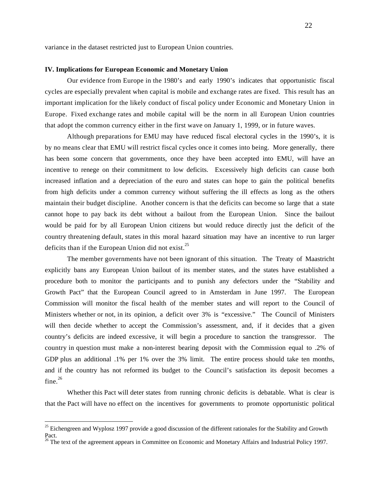variance in the dataset restricted just to European Union countries.

#### **IV. Implications for European Economic and Monetary Union**

Our evidence from Europe in the 1980's and early 1990's indicates that opportunistic fiscal cycles are especially prevalent when capital is mobile and exchange rates are fixed. This result has an important implication for the likely conduct of fiscal policy under Economic and Monetary Union in Europe. Fixed exchange rates and mobile capital will be the norm in all European Union countries that adopt the common currency either in the first wave on January 1, 1999, or in future waves.

Although preparations for EMU may have reduced fiscal electoral cycles in the 1990's, it is by no means clear that EMU will restrict fiscal cycles once it comes into being. More generally, there has been some concern that governments, once they have been accepted into EMU, will have an incentive to renege on their commitment to low deficits. Excessively high deficits can cause both increased inflation and a depreciation of the euro and states can hope to gain the political benefits from high deficits under a common currency without suffering the ill effects as long as the others maintain their budget discipline. Another concern is that the deficits can become so large that a state cannot hope to pay back its debt without a bailout from the European Union. Since the bailout would be paid for by all European Union citizens but would reduce directly just the deficit of the country threatening default, states in this moral hazard situation may have an incentive to run larger deficits than if the European Union did not exist.<sup>25</sup>

The member governments have not been ignorant of this situation. The Treaty of Maastricht explicitly bans any European Union bailout of its member states, and the states have established a procedure both to monitor the participants and to punish any defectors under the "Stability and Growth Pact" that the European Council agreed to in Amsterdam in June 1997. The European Commission will monitor the fiscal health of the member states and will report to the Council of Ministers whether or not, in its opinion, a deficit over 3% is "excessive." The Council of Ministers will then decide whether to accept the Commission's assessment, and, if it decides that a given country's deficits are indeed excessive, it will begin a procedure to sanction the transgressor. The country in question must make a non-interest bearing deposit with the Commission equal to .2% of GDP plus an additional .1% per 1% over the 3% limit. The entire process should take ten months, and if the country has not reformed its budget to the Council's satisfaction its deposit becomes a  $fine.<sup>26</sup>$ 

Whether this Pact will deter states from running chronic deficits is debatable. What is clear is that the Pact will have no effect on the incentives for governments to promote opportunistic political

 $25$  Eichengreen and Wyplosz 1997 provide a good discussion of the different rationales for the Stability and Growth Pact.

<sup>&</sup>lt;sup>26</sup> The text of the agreement appears in Committee on Economic and Monetary Affairs and Industrial Policy 1997.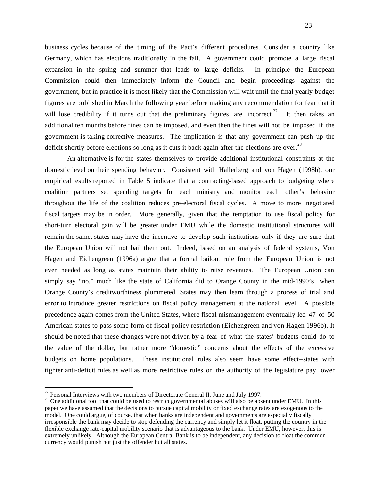business cycles because of the timing of the Pact's different procedures. Consider a country like Germany, which has elections traditionally in the fall. A government could promote a large fiscal expansion in the spring and summer that leads to large deficits. In principle the European Commission could then immediately inform the Council and begin proceedings against the government, but in practice it is most likely that the Commission will wait until the final yearly budget figures are published in March the following year before making any recommendation for fear that it will lose credibility if it turns out that the preliminary figures are incorrect.<sup>27</sup> It then takes an additional ten months before fines can be imposed, and even then the fines will not be imposed if the government is taking corrective measures. The implication is that any government can push up the deficit shortly before elections so long as it cuts it back again after the elections are over.<sup>28</sup>

An alternative is for the states themselves to provide additional institutional constraints at the domestic level on their spending behavior. Consistent with Hallerberg and von Hagen (1998b), our empirical results reported in Table 5 indicate that a contracting-based approach to budgeting where coalition partners set spending targets for each ministry and monitor each other's behavior throughout the life of the coalition reduces pre-electoral fiscal cycles. A move to more negotiated fiscal targets may be in order. More generally, given that the temptation to use fiscal policy for short-turn electoral gain will be greater under EMU while the domestic institutional structures will remain the same, states may have the incentive to develop such institutions only if they are sure that the European Union will not bail them out. Indeed, based on an analysis of federal systems, Von Hagen and Eichengreen (1996a) argue that a formal bailout rule from the European Union is not even needed as long as states maintain their ability to raise revenues. The European Union can simply say "no," much like the state of California did to Orange County in the mid-1990's when Orange County's creditworthiness plummeted. States may then learn through a process of trial and error to introduce greater restrictions on fiscal policy management at the national level. A possible precedence again comes from the United States, where fiscal mismanagement eventually led 47 of 50 American states to pass some form of fiscal policy restriction (Eichengreen and von Hagen 1996b). It should be noted that these changes were not driven by a fear of what the states' budgets could do to the value of the dollar, but rather more "domestic" concerns about the effects of the excessive budgets on home populations. These institutional rules also seem have some effect--states with tighter anti-deficit rules as well as more restrictive rules on the authority of the legislature pay lower

 $27$  Personal Interviews with two members of Directorate General II, June and July 1997.

 $28$  One additional tool that could be used to restrict governmental abuses will also be absent under EMU. In this paper we have assumed that the decisions to pursue capital mobility or fixed exchange rates are exogenous to the model. One could argue, of course, that when banks are independent and governments are especially fiscally irresponsible the bank may decide to stop defending the currency and simply let it float, putting the country in the flexible exchange rate-capital mobility scenario that is advantageous to the bank. Under EMU, however, this is extremely unlikely. Although the European Central Bank is to be independent, any decision to float the common currency would punish not just the offender but all states.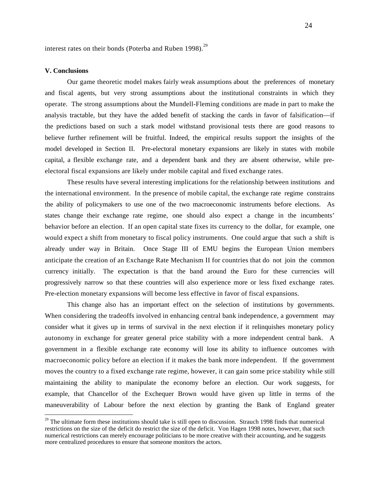interest rates on their bonds (Poterba and Ruben 1998). $^{29}$ 

#### **V. Conclusions**

Our game theoretic model makes fairly weak assumptions about the preferences of monetary and fiscal agents, but very strong assumptions about the institutional constraints in which they operate. The strong assumptions about the Mundell-Fleming conditions are made in part to make the analysis tractable, but they have the added benefit of stacking the cards in favor of falsification—if the predictions based on such a stark model withstand provisional tests there are good reasons to believe further refinement will be fruitful. Indeed, the empirical results support the insights of the model developed in Section II. Pre-electoral monetary expansions are likely in states with mobile capital, a flexible exchange rate, and a dependent bank and they are absent otherwise, while preelectoral fiscal expansions are likely under mobile capital and fixed exchange rates.

These results have several interesting implications for the relationship between institutions and the international environment. In the presence of mobile capital, the exchange rate regime constrains the ability of policymakers to use one of the two macroeconomic instruments before elections. As states change their exchange rate regime, one should also expect a change in the incumbents' behavior before an election. If an open capital state fixes its currency to the dollar, for example, one would expect a shift from monetary to fiscal policy instruments. One could argue that such a shift is already under way in Britain. Once Stage III of EMU begins the European Union members anticipate the creation of an Exchange Rate Mechanism II for countries that do not join the common currency initially. The expectation is that the band around the Euro for these currencies will progressively narrow so that these countries will also experience more or less fixed exchange rates. Pre-election monetary expansions will become less effective in favor of fiscal expansions.

This change also has an important effect on the selection of institutions by governments. When considering the tradeoffs involved in enhancing central bank independence, a government may consider what it gives up in terms of survival in the next election if it relinquishes monetary policy autonomy in exchange for greater general price stability with a more independent central bank. A government in a flexible exchange rate economy will lose its ability to influence outcomes with macroeconomic policy before an election if it makes the bank more independent. If the government moves the country to a fixed exchange rate regime, however, it can gain some price stability while still maintaining the ability to manipulate the economy before an election. Our work suggests, for example, that Chancellor of the Exchequer Brown would have given up little in terms of the maneuverability of Labour before the next election by granting the Bank of England greater

 $29$  The ultimate form these institutions should take is still open to discussion. Strauch 1998 finds that numerical restrictions on the size of the deficit do restrict the size of the deficit. Von Hagen 1998 notes, however, that such numerical restrictions can merely encourage politicians to be more creative with their accounting, and he suggests more centralized procedures to ensure that someone monitors the actors.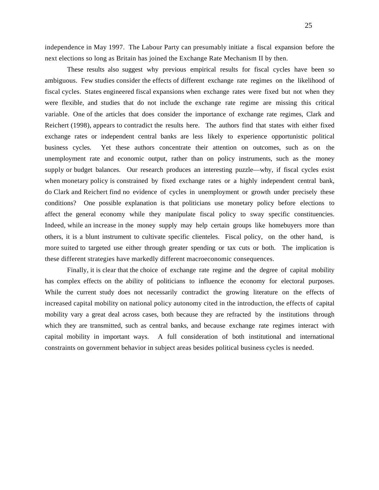independence in May 1997. The Labour Party can presumably initiate a fiscal expansion before the next elections so long as Britain has joined the Exchange Rate Mechanism II by then.

These results also suggest why previous empirical results for fiscal cycles have been so ambiguous. Few studies consider the effects of different exchange rate regimes on the likelihood of fiscal cycles. States engineered fiscal expansions when exchange rates were fixed but not when they were flexible, and studies that do not include the exchange rate regime are missing this critical variable. One of the articles that does consider the importance of exchange rate regimes, Clark and Reichert (1998), appears to contradict the results here. The authors find that states with either fixed exchange rates or independent central banks are less likely to experience opportunistic political business cycles. Yet these authors concentrate their attention on outcomes, such as on the unemployment rate and economic output, rather than on policy instruments, such as the money supply or budget balances. Our research produces an interesting puzzle—why, if fiscal cycles exist when monetary policy is constrained by fixed exchange rates or a highly independent central bank, do Clark and Reichert find no evidence of cycles in unemployment or growth under precisely these conditions? One possible explanation is that politicians use monetary policy before elections to affect the general economy while they manipulate fiscal policy to sway specific constituencies. Indeed, while an increase in the money supply may help certain groups like homebuyers more than others, it is a blunt instrument to cultivate specific clienteles. Fiscal policy, on the other hand, is more suited to targeted use either through greater spending or tax cuts or both. The implication is these different strategies have markedly different macroeconomic consequences.

Finally, it is clear that the choice of exchange rate regime and the degree of capital mobility has complex effects on the ability of politicians to influence the economy for electoral purposes. While the current study does not necessarily contradict the growing literature on the effects of increased capital mobility on national policy autonomy cited in the introduction, the effects of capital mobility vary a great deal across cases, both because they are refracted by the institutions through which they are transmitted, such as central banks, and because exchange rate regimes interact with capital mobility in important ways. A full consideration of both institutional and international constraints on government behavior in subject areas besides political business cycles is needed.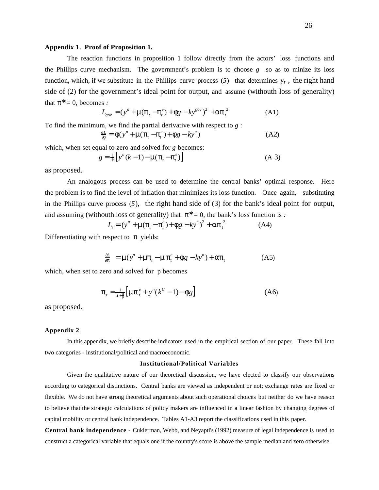#### **Appendix 1. Proof of Proposition 1.**

The reaction functions in proposition 1 follow directly from the actors' loss functions and the Phillips curve mechanism. The government's problem is to choose *g* so as to minize its loss function, which, if we substitute in the Phillips curve process  $(5)$  that determines  $y_t$ , the right hand side of (2) for the government's ideal point for output, and assume (withouth loss of generality) that  $= 0$ , becomes :

$$
L_{gov} = (y^n + \mu (t - \frac{e}{t}) + g - ky^{gov})^2 + \frac{2}{t}
$$
 (A1)

To find the minimum, we find the partial derivative with respect to *g* :

$$
\frac{L}{g} = (y^{n} + \mu)(t^{n} - t^{n}) + g - ky^{n})
$$
 (A2)

which, when set equal to zero and solved for *g* becomes:

$$
g = \frac{1}{\nu} \left[ y^n (k-1) - \mu \left( \begin{array}{cc} -e \\ t \end{array} \right) \right]
$$
 (A 3)

as proposed.

An analogous process can be used to determine the central banks' optimal response. Here the problem is to find the level of inflation that minimizes its loss function. Once again, substituting in the Phillips curve process (*5*)*,* the right hand side of (3) for the bank's ideal point for output, and assuming (withouth loss of generality) that  $= 0$ , the bank's loss function is :

$$
L_i = (y^n + \mu)(t - e^e) + g - ky^n)^2 + \frac{2}{t}
$$
 (A4)

Differentiating with respect to yields:

$$
-\frac{L}{r} = \mu(y^n + \mu_{t} - \mu_{t}^e + g - ky^n) + \mu_{t} \tag{A5}
$$

which, when set to zero and solved for p becomes

$$
t_{t} = \frac{1}{\mu + \mu} \left[ \mu \quad \frac{e}{t} + y^{n} (k^{C} - 1) - g \right]
$$
 (A6)

as proposed.

#### **Appendix 2**

In this appendix, we briefly describe indicators used in the empirical section of our paper. These fall into two categories - institutional/political and macroeconomic.

#### **Institutional/Political Variables**

Given the qualitative nature of our theoretical discussion, we have elected to classify our observations according to categorical distinctions. Central banks are viewed as independent or not; exchange rates are fixed or flexible**.** We do not have strong theoretical arguments about such operational choices but neither do we have reason to believe that the strategic calculations of policy makers are influenced in a linear fashion by changing degrees of capital mobility or central bank independence. Tables A1-A3 report the classifications used in this paper.

**Central bank independence -** Cukierman, Webb, and Neyapti's (1992) measure of legal independence is used to construct a categorical variable that equals one if the country's score is above the sample median and zero otherwise.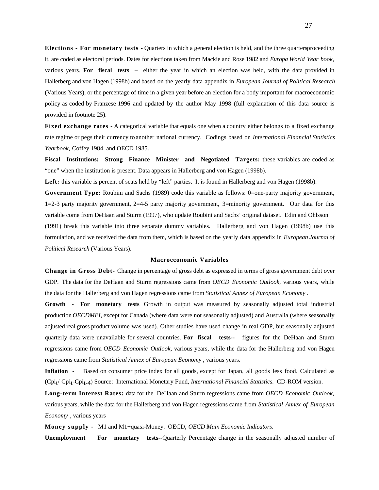**Elections - For monetary tests - Quarters in which a general election is held, and the three quarters proceeding** it, are coded as electoral periods. Dates for elections taken from Mackie and Rose 1982 and *Europa World Year book*, various years. **For fiscal tests –** either the year in which an election was held, with the data provided in Hallerberg and von Hagen (1998b) and based on the yearly data appendix in *European Journal of Political Research* (Various Years), or the percentage of time in a given year before an election for a body important for macroeconomic policy as coded by Franzese 1996 and updated by the author May 1998 (full explanation of this data source is provided in footnote 25).

**Fixed exchange rates** - A categorical variable that equals one when a country either belongs to a fixed exchange rate regime or pegs their currency to another national currency. Codings based on *International Financial Statistics Yearbook,* Coffey 1984, and OECD 1985.

**Fiscal Institutions: Strong Finance Minister and Negotiated Targets:** these variables are coded as "one" when the institution is present. Data appears in Hallerberg and von Hagen (1998b).

Left: this variable is percent of seats held by "left" parties. It is found in Hallerberg and von Hagen (1998b).

Government Type: Roubini and Sachs (1989) code this variable as follows: 0=one-party majority government, 1=2-3 party majority government, 2=4-5 party majority government, 3=minority government. Our data for this variable come from DeHaan and Sturm (1997), who update Roubini and Sachs' original dataset. Edin and Ohlsson (1991) break this variable into three separate dummy variables. Hallerberg and von Hagen (1998b) use this formulation, and we received the data from them, which is based on the yearly data appendix in *European Journal of Political Research* (Various Years).

#### **Macroeconomic Variables**

**Change in Gross Debt-** Change in percentage of gross debt as expressed in terms of gross government debt over GDP. The data for the DeHaan and Sturm regressions came from *OECD Economic Outlook*, various years, while the data for the Hallerberg and von Hagen regressions came from *Statistical Annex of European Economy* .

**Growth - For monetary tests** Growth in output was measured by seasonally adjusted total industrial production *OECDMEI*, except for Canada (where data were not seasonally adjusted) and Australia (where seasonally adjusted real gross product volume was used). Other studies have used change in real GDP, but seasonally adjusted quarterly data were unavailable for several countries. **For fiscal tests--** figures for the DeHaan and Sturm regressions came from *OECD Economic Outlook*, various years, while the data for the Hallerberg and von Hagen regressions came from *Statistical Annex of European Economy* , various years.

**Inflation -** Based on consumer price index for all goods, except for Japan, all goods less food. Calculated as (Cpit / Cpit -Cpit-4) Source: International Monetary Fund, *International Financial Statistics.* CD-ROM version.

**Long-term Interest Rates:** data for the DeHaan and Sturm regressions came from *OECD Economic Outlook*, various years, while the data for the Hallerberg and von Hagen regressions came from *Statistical Annex of European Economy* , various years

**Money supply -** M1 and M1+quasi-Money. OECD, *OECD Main Economic Indicators*.

**Unemployment For monetary tests--**Quarterly Percentage change in the seasonally adjusted number of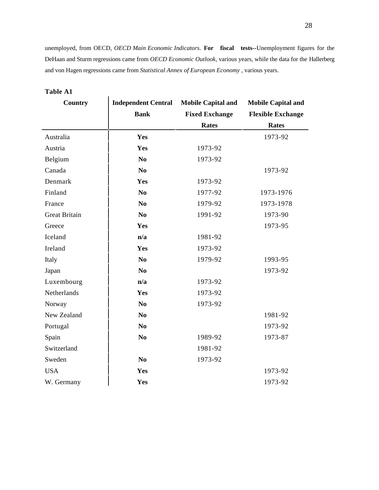unemployed, from OECD, *OECD Main Economic Indicators*. **For fiscal tests--**Unemployment figures for the DeHaan and Sturm regressions came from *OECD Economic Outlook*, various years, while the data for the Hallerberg and von Hagen regressions came from *Statistical Annex of European Economy* , various years.

| Country              | <b>Independent Central</b> | <b>Mobile Capital and</b> | <b>Mobile Capital and</b> |
|----------------------|----------------------------|---------------------------|---------------------------|
|                      | <b>Bank</b>                | <b>Fixed Exchange</b>     | <b>Flexible Exchange</b>  |
|                      |                            | <b>Rates</b>              | <b>Rates</b>              |
| Australia            | Yes                        |                           | 1973-92                   |
| Austria              | Yes                        | 1973-92                   |                           |
| Belgium              | No                         | 1973-92                   |                           |
| Canada               | N <sub>0</sub>             |                           | 1973-92                   |
| Denmark              | Yes                        | 1973-92                   |                           |
| Finland              | N <sub>0</sub>             | 1977-92                   | 1973-1976                 |
| France               | N <sub>0</sub>             | 1979-92                   | 1973-1978                 |
| <b>Great Britain</b> | N <sub>0</sub>             | 1991-92                   | 1973-90                   |
| Greece               | Yes                        |                           | 1973-95                   |
| Iceland              | n/a                        | 1981-92                   |                           |
| Ireland              | Yes                        | 1973-92                   |                           |
| Italy                | N <sub>0</sub>             | 1979-92                   | 1993-95                   |
| Japan                | N <sub>0</sub>             |                           | 1973-92                   |
| Luxembourg           | n/a                        | 1973-92                   |                           |
| Netherlands          | Yes                        | 1973-92                   |                           |
| Norway               | N <sub>0</sub>             | 1973-92                   |                           |
| New Zealand          | N <sub>0</sub>             |                           | 1981-92                   |
| Portugal             | N <sub>0</sub>             |                           | 1973-92                   |
| Spain                | N <sub>0</sub>             | 1989-92                   | 1973-87                   |
| Switzerland          |                            | 1981-92                   |                           |
| Sweden               | N <sub>0</sub>             | 1973-92                   |                           |
| <b>USA</b>           | Yes                        |                           | 1973-92                   |
| W. Germany           | Yes                        |                           | 1973-92                   |

### **Table A1**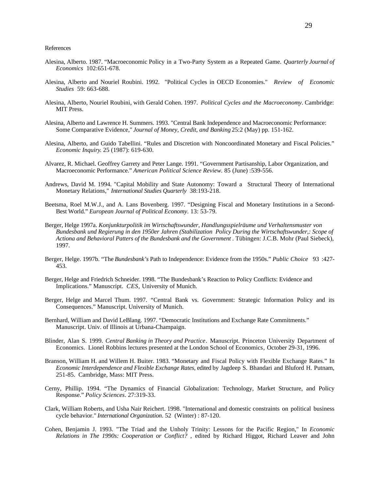References

- Alesina, Alberto. 1987. "Macroeconomic Policy in a Two-Party System as a Repeated Game. *Quarterly Journal of Economics* 102:651-678.
- Alesina, Alberto and Nouriel Roubini. 1992. "Political Cycles in OECD Economies." *Review of Economic Studies* 59: 663-688.
- Alesina, Alberto, Nouriel Roubini, with Gerald Cohen. 1997. *Political Cycles and the Macroeconomy*. Cambridge: MIT Press.
- Alesina, Alberto and Lawrence H. Summers. 1993. "Central Bank Independence and Macroeconomic Performance: Some Comparative Evidence," *Journal of Money, Credit, and Banking* 25:2 (May) pp. 151-162.
- Alesina, Alberto, and Guido Tabellini. "Rules and Discretion with Noncoordinated Monetary and Fiscal Policies." *Economic Inquiry*. 25 (1987): 619-630.
- Alvarez, R. Michael. Geoffrey Garrety and Peter Lange. 1991. "Government Partisanship, Labor Organization, and Macroeconomic Performance." *American Political Science Review.* 85 (June) :539-556.
- Andrews, David M. 1994. "Capital Mobility and State Autonomy: Toward a Structural Theory of International Monetary Relations," *International Studies Quarterly* 38:193-218.
- Beetsma, Roel M.W.J., and A. Lans Bovenberg. 1997. "Designing Fiscal and Monetary Institutions in a Second-Best World." *European Journal of Political Economy*. 13: 53-79.
- Berger, Helge 1997a. *Konjunkturpolitik im Wirtschaftswunder, Handlungsspielräume und Verhaltensmuster von Bundesbank und Regierung in den 1950er Jahren (Stabilization Policy During the Wirtschaftswunder,: Scope of* Actiona and Behavioral Patters of the Bundesbank and the Government . Tübingen: J.C.B. Mohr (Paul Siebeck), 1997.
- Berger, Helge. 1997b. "The *Bundesbank's* Path to Independence: Evidence from the 1950s." *Public Choice* 93 :427- 453.
- Berger, Helge and Friedrich Schneider. 1998. "The Bundesbank's Reaction to Policy Conflicts: Evidence and Implications." Manuscript. *CES,* University of Munich.
- Berger, Helge and Marcel Thum. 1997. "Central Bank vs. Government: Strategic Information Policy and its Consequences." Manuscript. University of Munich.
- Bernhard, William and David LeBlang. 1997. "Democratic Institutions and Exchange Rate Commitments." Manuscript. Univ. of Illinois at Urbana-Champaign.
- Blinder, Alan S. 1999. *Central Banking in Theory and Practice*. Manuscript. Princeton University Department of Economics. Lionel Robbins lectures presented at the London School of Economics*,* October 29-31, 1996.
- Branson, William H. and Willem H. Buiter. 1983. "Monetary and Fiscal Policy with Flexible Exchange Rates." In *Economic Interdependence and Flexible Exchange Rates,* edited by Jagdeep S. Bhandari and Bluford H. Putnam, 251-85. Cambridge, Mass: MIT Press.
- Cerny, Phillip. 1994. "The Dynamics of Financial Globalization: Technology, Market Structure, and Policy Response." *Policy Sciences*. 27:319-33.
- Clark, William Roberts, and Usha Nair Reichert. 1998. "International and domestic constraints on political business cycle behavior." *International Organization*. 52 (Winter) : 87-120.
- Cohen, Benjamin J. 1993. "The Triad and the Unholy Trinity: Lessons for the Pacific Region," In *Economic Relations in The 1990s: Cooperation or Conflict?* , edited by Richard Higgot, Richard Leaver and John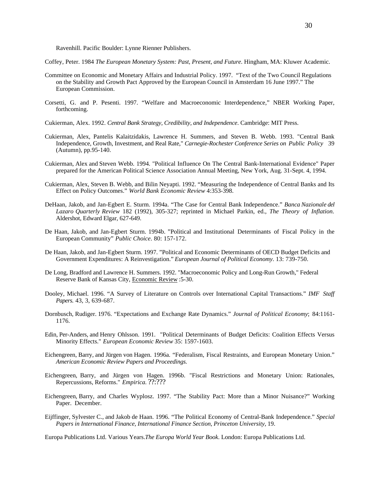Ravenhill. Pacific Boulder: Lynne Rienner Publishers.

- Coffey, Peter. 1984 *The European Monetary System: Past, Present, and Future*. Hingham, MA: Kluwer Academic.
- Committee on Economic and Monetary Affairs and Industrial Policy. 1997. "Text of the Two Council Regulations on the Stability and Growth Pact Approved by the European Council in Amsterdam 16 June 1997." The European Commission.
- Corsetti, G. and P. Pesenti. 1997. "Welfare and Macroeconomic Interdependence," NBER Working Paper, forthcoming.
- Cukierman, Alex. 1992. *Central Bank Strategy, Credibility, and Independence*. Cambridge: MIT Press.
- Cukierman, Alex, Pantelis Kalaitzidakis, Lawrence H. Summers, and Steven B. Webb. 1993. "Central Bank Independence, Growth, Investment, and Real Rate," *Carnegie-Rochester Conference Series on Public Policy* 39 (Autumn), pp.95-140.
- Cukierman, Alex and Steven Webb. 1994. "Political Influence On The Central Bank-International Evidence" Paper prepared for the American Political Science Association Annual Meeting, New York, Aug. 31-Sept. 4, 1994.
- Cukierman, Alex, Steven B. Webb, and Bilin Neyapti. 1992. "Measuring the Independence of Central Banks and Its Effect on Policy Outcomes." *World Bank Economic Review* 4:353-398.
- DeHaan, Jakob, and Jan-Egbert E. Sturm. 1994a. "The Case for Central Bank Independence." *Banca Nazionale del Lazaro Quarterly Review* 182 (1992), 305-327; reprinted in Michael Parkin, ed., *The Theory of Inflation*. Aldershot, Edward Elgar, 627-649.
- De Haan, Jakob, and Jan-Egbert Sturm. 1994b. "Political and Institutional Determinants of Fiscal Policy in the European Community" *Public Choice*. 80: 157-172.
- De Haan, Jakob, and Jan-Egbert Sturm. 1997. "Political and Economic Determinants of OECD Budget Deficits and Government Expenditures: A Reinvestigation." *European Journal of Political Economy*. 13: 739-750.
- De Long, Bradford and Lawrence H. Summers. 1992. "Macroeconomic Policy and Long-Run Growth," Federal Reserve Bank of Kansas City, Economic Review :5-30.
- Dooley, Michael. 1996. "A Survey of Literature on Controls over International Capital Transactions." *IMF Staff Papers*. 43, 3, 639-687.
- Dornbusch, Rudiger. 1976. "Expectations and Exchange Rate Dynamics." *Journal of Political Economy*; 84:1161- 1176.
- Edin, Per-Anders, and Henry Ohlsson. 1991. "Political Determinants of Budget Deficits: Coalition Effects Versus Minority Effects." *European Economic Review* 35: 1597-1603.
- Eichengreen, Barry, and Jürgen von Hagen. 1996a. "Federalism, Fiscal Restraints, and European Monetary Union." *American Economic Review Papers and Proceedings.*
- Eichengreen, Barry, and Jürgen von Hagen. 1996b. "Fiscal Restrictions and Monetary Union: Rationales, Repercussions, Reforms." *Empirica.* ??:???
- Eichengreen, Barry, and Charles Wyplosz. 1997. "The Stability Pact: More than a Minor Nuisance?" Working Paper. December.
- Eijffinger, Sylvester C., and Jakob de Haan. 1996. "The Political Economy of Central-Bank Independence." *Special Papers in International Finance, International Finance Section, Princeton University,* 19.

Europa Publications Ltd. Various Years.*The Europa World Year Book*. London: Europa Publications Ltd.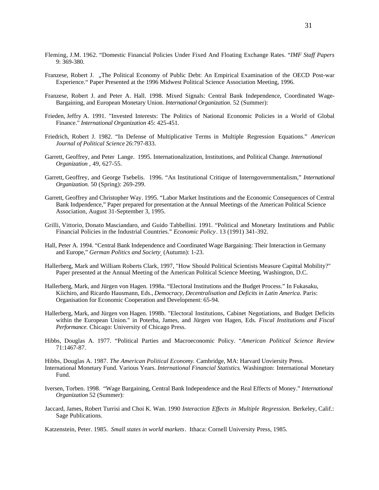- Fleming, J.M. 1962. "Domestic Financial Policies Under Fixed And Floating Exchange Rates. "*IMF Staff Papers* 9: 369-380.
- Franzese, Robert J. "The Political Economy of Public Debt: An Empirical Examination of the OECD Post-war Experience." Paper Presented at the 1996 Midwest Political Science Association Meeting, 1996.
- Franzese, Robert J. and Peter A. Hall. 1998. Mixed Signals: Central Bank Independence, Coordinated Wage-Bargaining, and European Monetary Union. *International Organization*. 52 (Summer):
- Frieden, Jeffry A. 1991. "Invested Interests: The Politics of National Economic Policies in a World of Global Finance." *International Organization* 45: 425-451.
- Friedrich, Robert J. 1982. "In Defense of Multiplicative Terms in Multiple Regression Equations." *American Journal of Political Science* 26:797-833.
- Garrett, Geoffrey, and Peter Lange. 1995. Internationalization, Institutions, and Political Change. *International Organization* , 49, 627-55.
- Garrett, Geoffrey, and George Tsebelis. 1996. "An Institutional Critique of Interngovernmentalism," *International Organization*. 50 (Spring): 269-299.
- Garrett, Geoffrey and Christopher Way. 1995. "Labor Market Institutions and the Economic Consequences of Central Bank Indpendence," Paper prepared for presentation at the Annual Meetings of the American Political Science Association, August 31-September 3, 1995.
- Grilli, Vittorio, Donato Masciandaro, and Guido Tabbellini. 1991. "Political and Monetary Institutions and Public Financial Policies in the Industrial Countries." *Economic Policy*. 13 (1991) 341-392.
- Hall, Peter A. 1994. "Central Bank Independence and Coordinated Wage Bargaining: Their Interaction in Germany and Europe," *German Politics and Society* (Autumn): 1-23.
- Hallerberg, Mark and William Roberts Clark, 1997, "How Should Political Scientists Measure Capittal Mobility?" Paper presented at the Annual Meeting of the American Political Science Meeting, Washington, D.C.
- Hallerberg, Mark, and Jürgen von Hagen. 1998a. "Electoral Institutions and the Budget Process." In Fukasaku, Kiichiro, and Ricardo Hausmann, Eds., *Democracy, Decentralisation and Deficits in Latin America*. Paris: Organisation for Economic Cooperation and Development: 65-94.
- Hallerberg, Mark, and Jürgen von Hagen. 1998b. "Electoral Institutions, Cabinet Negotiations, and Budget Deficits within the European Union." in Poterba, James, and Jürgen von Hagen, Eds. *Fiscal Institutions and Fiscal Performance*. Chicago: University of Chicago Press.
- Hibbs, Douglas A. 1977. "Political Parties and Macroeconomic Policy. "*American Political Science Review* 71:1467-87.
- Hibbs, Douglas A. 1987. *The American Political Economy.* Cambridge, MA: Harvard Unviersity Press. International Monetary Fund. Various Years. *International Financial Statistics*. Washington: International Monetary Fund.
- Iversen, Torben. 1998. "Wage Bargaining, Central Bank Independence and the Real Effects of Money." *International Organization* 52 (Summer):
- Jaccard, James, Robert Turrisi and Choi K. Wan. 1990 *Interaction Effects in Multiple Regression.* Berkeley, Calif.: Sage Publications.

Katzenstein, Peter. 1985. *Small states in world markets*. Ithaca: Cornell University Press, 1985.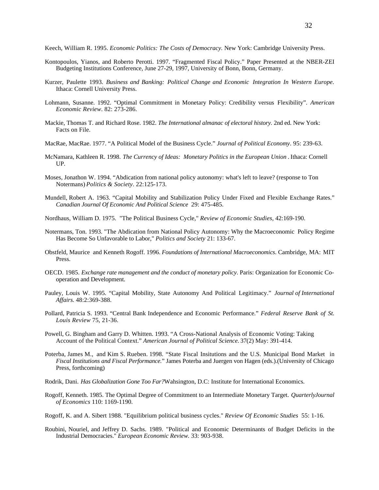Keech, William R. 1995. *Economic Politics: The Costs of Democracy.* New York: Cambridge University Press.

- Kontopoulos, Yianos, and Roberto Perotti. 1997. "Fragmented Fiscal Policy." Paper Presented at the NBER-ZEI Budgeting Institutions Conference, June 27-29, 1997, University of Bonn, Bonn, Germany.
- Kurzer, Paulette 1993. *Business and Banking: Political Change and Economic Integration In Western Europe*. Ithaca: Cornell University Press.
- Lohmann, Susanne. 1992. "Optimal Commitment in Monetary Policy: Credibility versus Flexibility"*. American Economic Review*. 82: 273-286.
- Mackie, Thomas T. and Richard Rose. 1982. *The International almanac of electoral history.* 2nd ed. New York: Facts on File.
- MacRae, MacRae. 1977. "A Political Model of the Business Cycle." *Journal of Political Economy*. 95: 239-63.
- McNamara, Kathleen R. 1998. *The Currency of Ideas: Monetary Politics in the European Union*. Ithaca: Cornell UP.
- Moses, Jonathon W. 1994. "Abdication from national policy autonomy: what's left to leave? (response to Ton Notermans) *Politics & Society*. 22:125-173.
- Mundell, Robert A. 1963. "Capital Mobility and Stabilization Policy Under Fixed and Flexible Exchange Rates." *Canadian Journal Of Economic And Political Science* 29: 475-485.
- Nordhaus, William D. 1975. "The Political Business Cycle," *Review of Economic Studies,* 42:169-190.
- Notermans, Ton. 1993. "The Abdication from National Policy Autonomy: Why the Macroeconomic Policy Regime Has Become So Unfavorable to Labor," *Politics and Society* 21: 133-67.
- Obstfeld, Maurice and Kenneth Rogoff. 1996. *Foundations of International Macroeconomics*. Cambridge, MA: MIT Press.
- OECD. 1985. *Exchange rate management and the conduct of monetary policy*. Paris: Organization for Economic Cooperation and Development.
- Pauley, Louis W. 1995. "Capital Mobility, State Autonomy And Political Legitimacy." *Journal of International Affairs*. 48:2:369-388.
- Pollard, Patricia S. 1993. "Central Bank Independence and Economic Performance." *Federal Reserve Bank of St. Louis Review* 75, 21-36.
- Powell, G. Bingham and Garry D. Whitten. 1993. "A Cross-National Analysis of Economic Voting: Taking Account of the Political Context." *American Journal of Political Science.* 37(2) May: 391-414.
- Poterba, James M., and Kim S. Rueben. 1998. "State Fiscal Insitutions and the U.S. Municipal Bond Market in *Fiscal Institutions and Fiscal Performance.*" James Poterba and Juergen von Hagen (eds.).(University of Chicago Press, forthcoming)
- Rodrik, Dani. *Has Globalization Gone Too Far?*Wahsington, D.C: Institute for International Economics.
- Rogoff, Kenneth. 1985. The Optimal Degree of Commitment to an Intermediate Monetary Target. *Quarterly Journal of Economics* 110: 1169-1190.
- Rogoff, K. and A. Sibert 1988. "Equilibrium political business cycles." *Review Of Economic Studies* 55: 1-16.
- Roubini, Nouriel, and Jeffrey D. Sachs. 1989. "Political and Economic Determinants of Budget Deficits in the Industrial Democracies." *European Economic Review*. 33: 903-938.